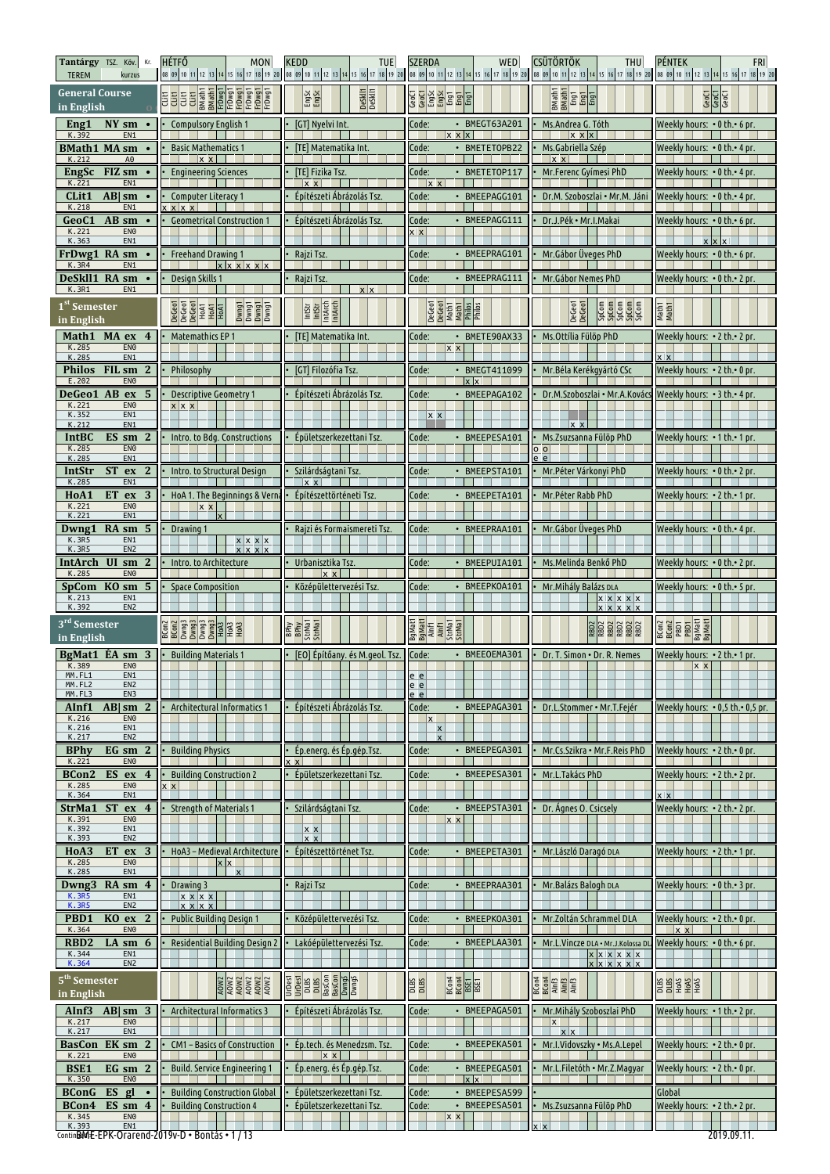| Tantárgy TSZ. Köv.<br>КΓ.<br><b>TEREM</b><br>kurzus                                                                                                 | <b>HÉTFŐ</b><br><b>MON</b>                                                   | <b>KEDD</b><br><b>TUE</b>                                                                                                 | <b>SZERDA</b><br><b>WED</b>                                     | <b>CSÜTÖRTÖK</b><br><b>THU</b><br>08 09 10 11 12 13 14 15 16 17 18 19 20 08 09 10 11 12 13 14 15 16 17 18 19 20 08 09 10 11 12 13 14 15 16 17 18 19 20 08 09 10 11 12 13 14 15 16 17 18 19 20 09 10 11 12 13 14 15 16 17 18 19 20 | <b>PÉNTEK</b><br><b>FRI</b>                              |
|-----------------------------------------------------------------------------------------------------------------------------------------------------|------------------------------------------------------------------------------|---------------------------------------------------------------------------------------------------------------------------|-----------------------------------------------------------------|-----------------------------------------------------------------------------------------------------------------------------------------------------------------------------------------------------------------------------------|----------------------------------------------------------|
| <b>General Course</b><br>in English                                                                                                                 |                                                                              | DeSkll1<br>DeSkll1<br>Engsc                                                                                               | <b>George Side</b><br>George Side<br>George Side<br>George Side | <b>Math1</b><br>BMath1<br>Eng1<br>Eng1                                                                                                                                                                                            | <b>GeoCT</b><br>GeoCT                                    |
| NY sm<br>Eng1<br>$\bullet$<br>K.392<br>EN <sub>1</sub>                                                                                              | <b>Compulsory English 1</b>                                                  | [GT] Nyelvi Int.                                                                                                          | • BMEGT63A201<br>Code:<br>$x \times x$                          | Ms.Andrea G. Tóth<br>$x \times x$                                                                                                                                                                                                 | Weekly hours: $\cdot$ 0 th. $\cdot$ 6 pr.                |
| <b>BMath1 MA sm</b><br>K.212<br>A0                                                                                                                  | <b>Basic Mathematics 1</b><br>$x \times$                                     | [TE] Matematika Int.                                                                                                      | Code:<br>• BMETETOPB22                                          | Ms.Gabriella Szép<br>$x \times$                                                                                                                                                                                                   | Weekly hours: • 0 th.• 4 pr.                             |
| <b>EngSc</b><br>FIZ sm<br>$\bullet$<br>K.221<br>EN <sub>1</sub>                                                                                     | <b>Engineering Sciences</b>                                                  | [TE] Fizika Tsz.<br>$x \times$                                                                                            | Code:<br>• BMETETOP117<br>$x \times$                            | Mr.Ferenc Gyímesi PhD                                                                                                                                                                                                             | Weekly hours: • 0 th.• 4 pr.                             |
| CLit1<br>$AB \mid sm$<br>K.218<br>EN <sub>1</sub>                                                                                                   | <b>Computer Literacy 1</b><br>x   x x                                        | Építészeti Ábrázolás Tsz                                                                                                  | · BMEEPAGG101<br>Code:                                          | Dr.M. Szoboszlai • Mr.M. Jáni                                                                                                                                                                                                     | Weekly hours: • 0 th.• 4 pr.                             |
| GeoC1<br>AB sm<br>K.221<br>EN <sub>0</sub>                                                                                                          | <b>Geometrical Construction 1</b>                                            | Építészeti Ábrázolás Tsz                                                                                                  | · BMEEPAGG111<br>Code:<br>x x                                   | Dr.J.Pék • Mr.I.Makai                                                                                                                                                                                                             | Weekly hours: $\cdot$ 0 th. $\cdot$ 6 pr.                |
| K.363<br>EN1<br>FrDwg1 RA sm<br>$\bullet$                                                                                                           | <b>Freehand Drawing 1</b>                                                    | Rajzi Tsz.                                                                                                                | Code:<br>BMEEPRAG101                                            | Mr. Gábor Üveges PhD                                                                                                                                                                                                              | Weekly hours: • 0 th.• 6 pr.                             |
| K.3R4<br>EN <sub>1</sub><br>DeSkl11<br>RA sm                                                                                                        | $x \times x \times x$<br>Design Skills 1                                     | Rajzi Tsz                                                                                                                 | BMEEPRAG111<br>Code:                                            | Mr. Gábor Nemes PhD                                                                                                                                                                                                               | Weekly hours: • 0 th.• 2 pr.                             |
| K.3R1<br>EN <sub>1</sub><br>1 <sup>st</sup> Semester                                                                                                |                                                                              | x x                                                                                                                       |                                                                 |                                                                                                                                                                                                                                   |                                                          |
| in English                                                                                                                                          | DeGeo1<br>DeGeo1<br>HDA1<br>HDA1<br>HDA1<br>Löung<br>Löung<br>Löung<br>Löung | <b>RES</b><br>RESERTED<br>RESERTED                                                                                        | DeGeo1<br>DeGeo1<br>Math1<br>Math1<br>Philos<br>Philos          | $rac{6}{9}$<br>DeGeo1<br>DeGeo1<br>SpCom                                                                                                                                                                                          | Math1<br>Math1                                           |
| Math1<br>MA ex 4<br>EN <sub>0</sub><br>K.285<br>K.285<br>EN1                                                                                        | Matemathics EP 1                                                             | [TE] Matematika Int.                                                                                                      | BMETE90AX33<br>Code:<br>$\bullet$<br><b>x</b> x                 | Ms.Ottília Fülöp PhD                                                                                                                                                                                                              | Weekly hours: • 2 th.• 2 pr.<br>$x \times$               |
| FIL sm 2<br>Philos<br>E.202<br>EN <sub>0</sub>                                                                                                      | Philosophy                                                                   | [GT] Filozófia Tsz.                                                                                                       | Code:<br>BMEGT411099<br>$x \times$                              | Mr. Béla Kerékgyártó CSc                                                                                                                                                                                                          | Weekly hours: • 2 th.• 0 pr.                             |
| <b>DeGeo1 AB ex 5</b><br>K.221<br>EN <sub>0</sub>                                                                                                   | <b>Descriptive Geometry 1</b><br>$x \mid x$ x                                | Építészeti Ábrázolás Tsz                                                                                                  | • BMEEPAGA102<br>Code:                                          | Dr.M.Szoboszlai • Mr.A.Kovács                                                                                                                                                                                                     | Weekly hours: • 3 th.• 4 pr.                             |
| K.352<br>EN1<br>K.212<br>EN <sub>1</sub>                                                                                                            |                                                                              |                                                                                                                           | $x \times$                                                      | $\mathbf{x}$ x                                                                                                                                                                                                                    |                                                          |
| <b>IntBC</b><br>ES sm<br>$\mathbf{2}$<br>K.285<br>EN <sub>0</sub><br>EN1                                                                            | Intro. to Bdg. Constructions                                                 | Épületszerkezettani Tsz                                                                                                   | Code:<br>• BMEEPESA101                                          | Ms.Zsuzsanna Fülöp PhD<br>0 <sub>o</sub>                                                                                                                                                                                          | Weekly hours: • 1 th.• 1 pr.                             |
| K.285<br>$ST$ ex<br>IntStr<br><sup>2</sup><br>K.285<br>EN <sub>1</sub>                                                                              | Intro. to Structural Design                                                  | Szilárdságtani Tsz.<br>$x \times$                                                                                         | Code:<br>BMEEPSTA101                                            | e e<br>Mr. Péter Várkonyi PhD                                                                                                                                                                                                     | Weekly hours: • 0 th.• 2 pr.                             |
| HoA1<br><b>ET</b><br>ex<br>-3<br>K.221<br>EN <sub>0</sub>                                                                                           | HoA 1. The Beginnings & Vern                                                 | Építészettörténeti Tsz                                                                                                    | • BMEEPETA101<br>Code:                                          | Mr. Péter Rabb PhD                                                                                                                                                                                                                | Weekly hours: • 2 th.• 1 pr.                             |
| K.221<br>EN <sub>1</sub><br>Dwng1<br>$RA \, \text{sm} \, 5$                                                                                         | $x \times$<br>Drawing 1                                                      | Rajzi és Formaismereti Tsz                                                                                                | · BMEEPRAA101<br>Code:                                          | Mr. Gábor Üveges PhD                                                                                                                                                                                                              | Weekly hours: • 0 th.• 4 pr.                             |
| K.3R5<br>EN <sub>1</sub><br><b>K.3R5</b><br>EN <sub>2</sub>                                                                                         | x x x x<br>$x \mid x \mid x$                                                 |                                                                                                                           |                                                                 |                                                                                                                                                                                                                                   |                                                          |
| IntArch UI sm 2<br>K.285<br>EN <sub>0</sub>                                                                                                         | Intro. to Architecture                                                       | Urbanisztika Tsz<br>$x \times$                                                                                            | Code:<br>· BMEEPUIA101                                          | Ms.Melinda Benkő PhD                                                                                                                                                                                                              | Weekly hours: • 0 th.• 2 pr.                             |
| SpCom KO sm 5                                                                                                                                       | <b>Space Composition</b>                                                     | Középülettervezési Tsz                                                                                                    | · BMEEPKOA101<br>Code:                                          | Mr. Mihály Balázs DLA                                                                                                                                                                                                             | Weekly hours: • 0 th.• 5 pr.                             |
| K.213<br>EN1                                                                                                                                        |                                                                              |                                                                                                                           |                                                                 | <u>x x x x x</u>                                                                                                                                                                                                                  |                                                          |
| K.392<br>EN <sub>2</sub><br>3 <sup>rd</sup> Semester<br>in English                                                                                  | BCon2<br>BCon2<br>Dwng3<br>Dwng3<br>Dwng3<br>HoA3<br>HoA3<br>HoA3            | <b>RPhy</b><br>StrMad<br>StrMad                                                                                           | <b>BgMatl</b><br><b>BgMatl</b><br>AInfl<br>StrMa1<br>StrMa1     | x x x x x                                                                                                                                                                                                                         | <b>BCON2</b><br>BCON2<br><b>PBD1</b><br>BgMat1<br>BgMat1 |
| BgMat1<br>$\hat{E}$ A sm $\hat{3}$<br>K.389<br>EN <sub>0</sub>                                                                                      | <b>Building Materials 1</b>                                                  | [EO] Építőany. és M.geol. Tsz.                                                                                            | • BMEEOEMA301<br>Code:                                          | Dr. T. Simon . Dr. R. Nemes                                                                                                                                                                                                       | Weekly hours: • 2 th.• 1 pr.                             |
| MM.FL1<br>EN1<br>MM.FL2<br>EN <sub>2</sub>                                                                                                          |                                                                              |                                                                                                                           | e el<br>e e                                                     |                                                                                                                                                                                                                                   | x x                                                      |
| MM.FL3<br>EN3<br>AInf1<br>$AB $ sm<br>$\mathbf{2}$                                                                                                  | Architectural Informatics 1                                                  | Építészeti Ábrázolás Tsz.                                                                                                 | e e<br>• BMEEPAGA301<br>Code:                                   | Dr.L.Stommer • Mr.T.Fejér                                                                                                                                                                                                         | Weekly hours: • 0,5 th.• 0,5 pr.                         |
| K.216<br>EN <sub>0</sub><br>K.216<br>EN1<br>EN <sub>2</sub><br>K.217                                                                                |                                                                              |                                                                                                                           | x<br>$\boldsymbol{\mathsf{x}}$<br>x                             |                                                                                                                                                                                                                                   |                                                          |
| <b>BPhy</b><br>EG sm<br>$\mathbf{2}$<br>K.221<br>EN <sub>0</sub>                                                                                    | <b>Building Physics</b>                                                      | Ép.energ. és Ép.gép.Tsz.                                                                                                  | • BMEEPEGA301<br>Code:                                          | Mr.Cs.Szikra • Mr.F.Reis PhD                                                                                                                                                                                                      | Weekly hours: • 2 th.• 0 pr.                             |
| BCon2<br>ES ex<br>4<br>K.285<br>EN <sub>0</sub>                                                                                                     | <b>Building Construction 2</b><br>x x                                        | Épületszerkezettani Tsz.                                                                                                  | Code:<br>• BMEEPESA301                                          | Mr.L.Takács PhD                                                                                                                                                                                                                   | Weekly hours: • 2 th.• 2 pr.                             |
| K.364<br>EN1<br>StrMa1 ST<br>ex<br>$\overline{4}$                                                                                                   | <b>Strength of Materials 1</b>                                               | Szilárdságtani Tsz.                                                                                                       | Code:<br>• BMEEPSTA301                                          | Dr. Agnes O. Csicsely                                                                                                                                                                                                             | x x<br>Weekly hours: $\cdot$ 2 th. $\cdot$ 2 pr.         |
| K.391<br>EN <sub>0</sub><br>K.392<br>EN1<br>EN <sub>2</sub><br>K.393                                                                                |                                                                              | $x \times$<br>$x \times$                                                                                                  | <b>x</b> x                                                      |                                                                                                                                                                                                                                   |                                                          |
| <b>ET</b><br>H <sub>o</sub> A <sub>3</sub><br>3<br>ex<br>K.285<br>EN <sub>0</sub>                                                                   | HoA3 - Medieval Architecture<br>$x \mid x$                                   | Epítészettörténet Tsz.                                                                                                    | Code:<br>• BMEEPETA301                                          | Mr.László Daragó DLA                                                                                                                                                                                                              | Weekly hours: • 2 th.• 1 pr.                             |
| K.285<br>EN1<br>RA sm<br>$\overline{4}$<br>Dwng3                                                                                                    | Drawing 3                                                                    | Rajzi Tsz                                                                                                                 | • BMEEPRAA301<br>Code:                                          | Mr. Balázs Balogh DLA                                                                                                                                                                                                             | Weekly hours: • 0 th.• 3 pr.                             |
| <b>K.3R5</b><br>EN1<br><b>K.3R5</b><br>EN <sub>2</sub>                                                                                              | $x \times x$<br>$x \times x$                                                 |                                                                                                                           |                                                                 |                                                                                                                                                                                                                                   |                                                          |
| K <sub>O</sub><br>$\overline{2}$<br>PBD1<br>ex<br>K.364<br>EN <sub>0</sub>                                                                          | <b>Public Building Design 1</b>                                              | Középülettervezési Tsz.                                                                                                   | Code:<br>• BMEEPKOA301                                          | Mr.Zoltán Schrammel DLA                                                                                                                                                                                                           | Weekly hours: • 2 th.• 0 pr.<br>$x \times$               |
| RBD <sub>2</sub><br>LA sm<br>6<br>K.344<br>EN1<br>K.364<br>EN <sub>2</sub>                                                                          | <b>Residential Building Design 2</b>                                         | Lakóépülettervezési Tsz.                                                                                                  | • BMEEPLAA301<br>Code:                                          | Mr.L.Vincze DLA · Mr.J.Kolossa DI<br>x x x x x x<br>$x \times x \times x$                                                                                                                                                         | Weekly hours: • 0 th.• 6 pr.                             |
| 5 <sup>th</sup> Semester<br>in English                                                                                                              | $\frac{20002}{40002}$<br>$\frac{20002}{40002}$                               | <b>Urbest</b><br><b>Urbest</b><br><b>DLBS</b><br><b>BRSCON</b><br><b>BRSCON</b><br><b>BRSCON</b><br><b>DWN05</b><br>DWN05 | BCon4<br>SSTQ<br>SSTQ<br>$\frac{\text{B}}{\text{B}}$            | <b>BCON4</b><br>BCON4<br>ALE AIR                                                                                                                                                                                                  | SPORT OF SURFACE                                         |
| $AB \mid sm \mid 3$<br>AInf3<br>K.217<br>EN <sub>0</sub>                                                                                            | Architectural Informatics 3                                                  | Epítészeti Ábrázolás Tsz.                                                                                                 | Code:<br>• BMEEPAGA501                                          | Mr. Mihály Szoboszlai PhD<br>$\mathsf{X}$                                                                                                                                                                                         | Weekly hours: $\cdot$ 1 th. $\cdot$ 2 pr.                |
| K.217<br>EN <sub>1</sub><br>EK sm<br>$\mathbf{2}$<br>BasCon                                                                                         | CM1 - Basics of Construction                                                 | Ép.tech. és Menedzsm. Tsz.                                                                                                | Code:<br>• BMEEPEKA501                                          | Mr.I.Vidovszky • Ms.A.Lepel                                                                                                                                                                                                       | Weekly hours: $\cdot$ 2 th. $\cdot$ 0 pr.                |
| K.221<br>EN <sub>0</sub><br><b>BSE1</b><br>EG sm<br>$\mathbf{2}$                                                                                    | <b>Build. Service Engineering 1</b>                                          | $x \times$<br>Ép.energ. és Ép.gép.Tsz.                                                                                    | • BMEEPEGA501<br>Code:                                          | Mr.L.Filetóth • Mr.Z.Magyar                                                                                                                                                                                                       | Weekly hours: • 2 th.• 0 pr.                             |
| K.350<br>EN <sub>0</sub><br><b>BConG</b><br>$ES$ gl<br>$\bullet$                                                                                    | <b>Building Construction Global</b>                                          | Épületszerkezettani Tsz.                                                                                                  | $x \mid x$<br>Code:<br>• BMEEPESA599                            |                                                                                                                                                                                                                                   | Global                                                   |
| BCon4<br>$ES \, \text{sm} \, 4$<br>K.345<br>EN <sub>0</sub><br>K.393<br>EN <sub>1</sub><br>Contin <b>BeME-EPK-Orarend-2019v-D • Bontás • 1 / 13</b> | <b>Building Construction 4</b>                                               | Epületszerkezettani Tsz.                                                                                                  | BMEEPESA501<br>Code:<br>$\bullet$<br>x x                        | Ms.Zsuzsanna Fülöp PhD                                                                                                                                                                                                            | Weekly hours: $\cdot$ 2 th. $\cdot$ 2 pr.<br>2019.09.11. |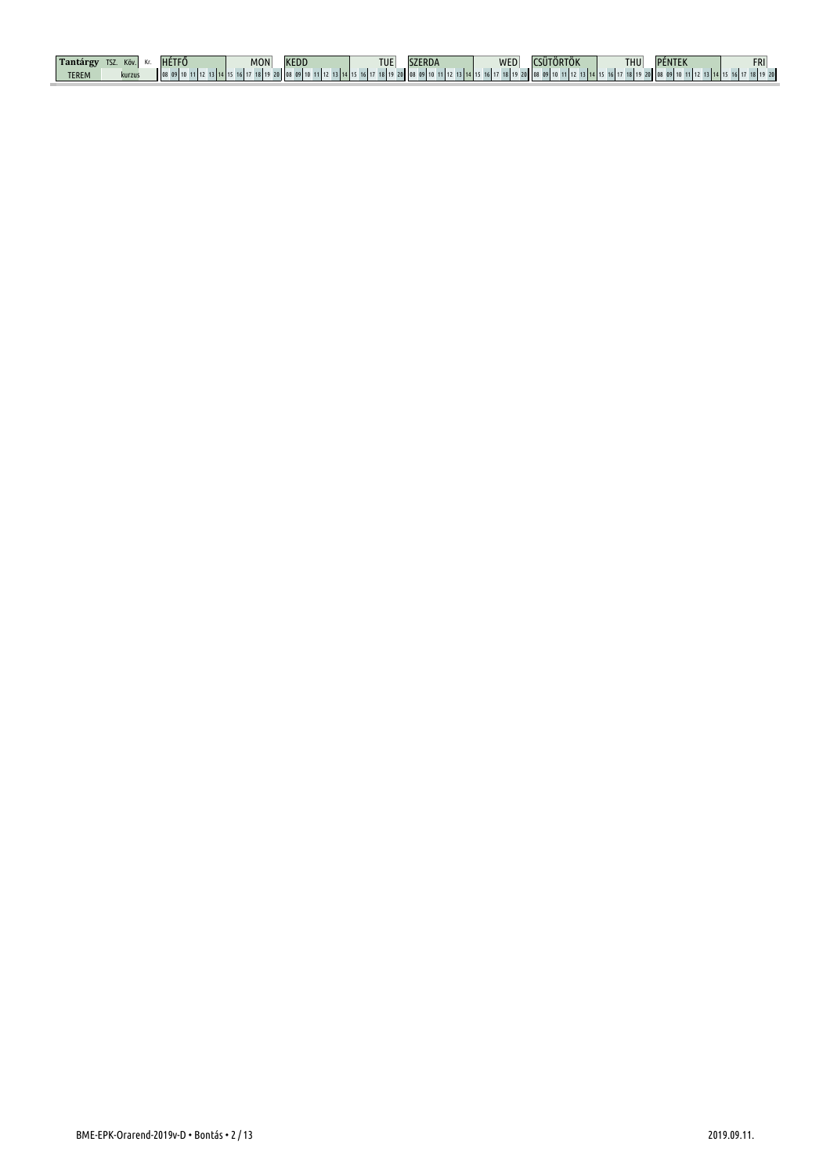| ິ            | ĸov    | MON' | <b>KEDL</b> | <b>TUE</b> |      | <b>INFF</b> | $\cdots$ | <b>THU</b>        | .     | <b>FRI</b> |
|--------------|--------|------|-------------|------------|------|-------------|----------|-------------------|-------|------------|
| <b>TEREM</b> | kurzus |      |             | $\sim$     | 1311 |             |          | 0.110<br>$c$   17 | 20 08 | 8 19 20    |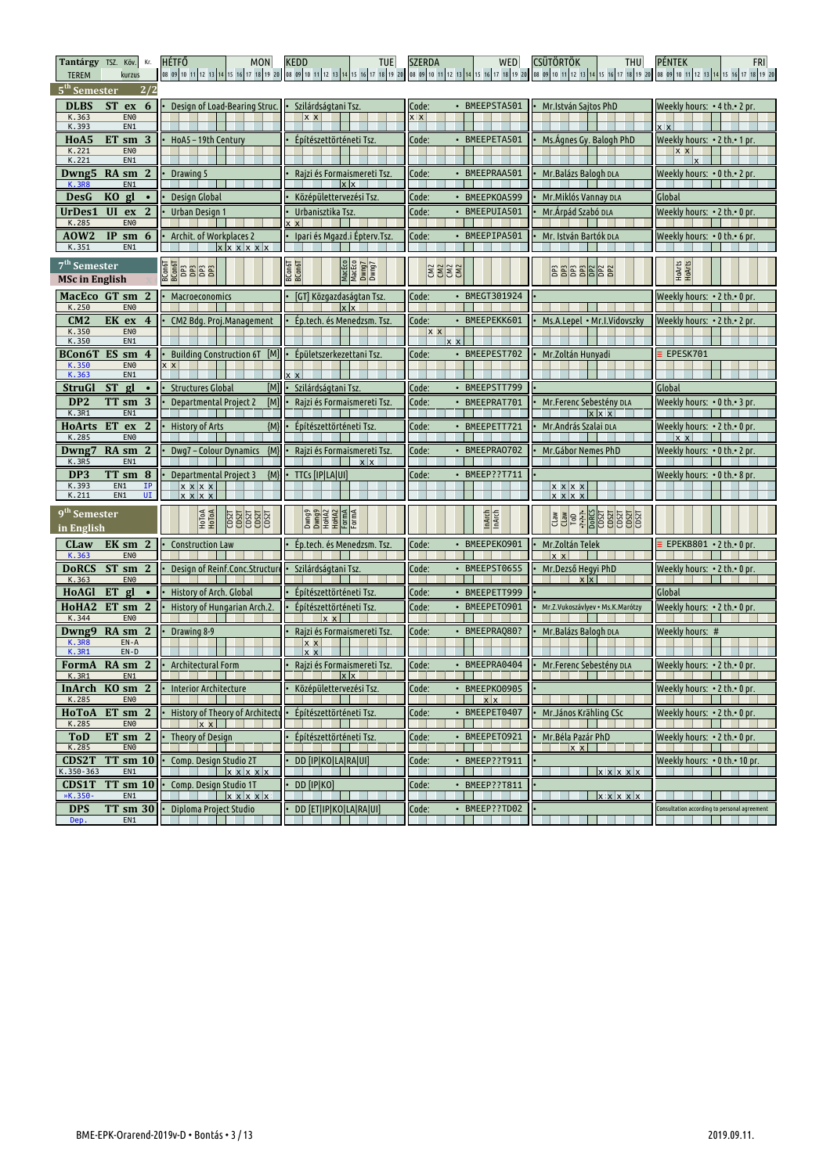| Tantárgy TSZ. Köv. Kr.<br><b>TEREM</b><br>kurzus                             | <b>HÉTFŐ</b><br><b>MON</b>                       | <b>KEDD</b><br><b>TUE</b>                              | <b>SZERDA</b><br>WED     | <b>CSÜTÖRTÖK</b><br><b>THU</b>          | <b>PÉNTEK</b><br><b>FRI</b><br>08 09 10 11 12 13 14 15 16 17 18 19 20 10 8 09 10 11 12 13 14 15 16 17 18 19 20 108 09 10 11 12 13 14 15 16 17 18 19 20 10 80 10 11 12 13 14 15 16 17 18 19 20 10 11 12 13 14 15 16 17 18 19 20 10 11 12 13 14 15 16 17 18 19 2 |
|------------------------------------------------------------------------------|--------------------------------------------------|--------------------------------------------------------|--------------------------|-----------------------------------------|----------------------------------------------------------------------------------------------------------------------------------------------------------------------------------------------------------------------------------------------------------------|
| 5 <sup>th</sup> Semester<br>2/2                                              |                                                  |                                                        |                          |                                         |                                                                                                                                                                                                                                                                |
| <b>DLBS</b><br><b>ST</b><br>6<br>ex                                          | Design of Load-Bearing Struc.                    | Szilárdságtani Tsz.                                    | · BMEEPSTA501<br>Code:   | Mr.István Sajtos PhD                    | Weekly hours: • 4 th.• 2 pr.                                                                                                                                                                                                                                   |
| K.363<br>EN <sub>0</sub><br>K.393<br>EN1                                     |                                                  | $x \times$                                             | x x                      |                                         |                                                                                                                                                                                                                                                                |
| HoA5<br>3<br>ET sm                                                           | HoA5-19th Century                                | Építészettörténeti Tsz.                                | · BMEEPETA501<br>Code:   | Ms.Agnes Gy. Balogh PhD                 | Weekly hours: • 2 th.• 1 pr.                                                                                                                                                                                                                                   |
| K.221<br>EN <sub>0</sub><br>K.221<br>EN1                                     |                                                  |                                                        |                          |                                         | $x \times$<br>$\mathbf{x}$                                                                                                                                                                                                                                     |
| Dwng5<br>$\mathbf{2}$<br>RA sm                                               | Drawing 5                                        | Rajzi és Formaismereti Tsz.                            | Code:<br>· BMEEPRAA501   | Mr. Balázs Balogh DLA                   | Weekly hours: • 0 th.• 2 pr.                                                                                                                                                                                                                                   |
| <b>K.3R8</b><br>EN1                                                          |                                                  | $x \times$                                             |                          |                                         |                                                                                                                                                                                                                                                                |
| DesG<br>KO gl<br>$\bullet$                                                   | Design Global                                    | Középülettervezési Tsz.                                | Code:<br>• BMEEPKOA599   | Mr. Miklós Vannay DLA                   | Global                                                                                                                                                                                                                                                         |
| UrDes1<br>UI<br>ex<br>$\mathbf{2}$<br>K.285<br>EN <sub>0</sub>               | Urban Design 1                                   | Urbanisztika Tsz.<br>$x \times$                        | Code:<br>· BMEEPUIA501   | Mr. Árpád Szabó DLA                     | Weekly hours: •2 th.• 0 pr.                                                                                                                                                                                                                                    |
| <b>AOW2</b><br>IP sm<br>6                                                    | Archit, of Workplaces 2                          | Ipari és Mgazd.i Épterv.Tsz                            | Code:<br>BMEEPIPA501     | Mr. István Bartók pla                   | Weekly hours: $\cdot$ 0 th. $\cdot$ 6 pr.                                                                                                                                                                                                                      |
| K.351<br>EN1                                                                 | <b>x</b> x                                       |                                                        |                          |                                         |                                                                                                                                                                                                                                                                |
| 7 <sup>th</sup> Semester<br><b>MSc in English</b>                            |                                                  | MacEco<br>MacEco<br>Dwng7<br>Dwng7<br>BCon6T<br>BCon6T | 8888                     | <b>BBBBBBBB</b>                         | HOArts<br>HOArts                                                                                                                                                                                                                                               |
| MacEco GT sm 2<br>K.250<br>EN <sub>0</sub>                                   | Macroeconomics                                   | [GT] Közgazdaságtan Tsz.<br>$x \mid x$                 | Code:<br>• BMEGT301924   |                                         | Weekly hours: • 2 th.• 0 pr.                                                                                                                                                                                                                                   |
| CM2<br>EK ex<br>4                                                            | CM2 Bdg. Proj.Management                         | Ép.tech. és Menedzsm. Tsz.                             | Code:<br>· BMEEPEKK601   | Ms.A.Lepel • Mr.I.Vidovszky             | Weekly hours: • 2 th.• 2 pr.                                                                                                                                                                                                                                   |
| K.350<br>EN <sub>0</sub><br>K.350<br>EN1                                     |                                                  |                                                        | $x \times$<br>$x \times$ |                                         |                                                                                                                                                                                                                                                                |
| ES sm<br>BCon6T<br>4                                                         | <b>Building Construction 6T</b><br>[M]           | Épületszerkezettani Tsz.                               | Code:<br>• BMEEPEST702   | Mr.Zoltán Hunyadi                       | EPESK701                                                                                                                                                                                                                                                       |
| K.350<br>EN <sub>0</sub><br>K.363<br>EN1                                     | $\mathsf{x}$                                     | $x \times$                                             |                          |                                         |                                                                                                                                                                                                                                                                |
| <b>ST</b><br>StruGl<br>gl                                                    | <b>Structures Global</b><br>[M]                  | Szilárdságtani Tsz.                                    | • BMEEPSTT799<br>Code:   |                                         | Global                                                                                                                                                                                                                                                         |
| DP <sub>2</sub><br>3<br>TT sm<br>K.3R1<br>EN1                                | [M]<br><b>Departmental Project 2</b>             | Rajzi és Formaismereti Tsz.                            | Code:<br>BMEEPRAT701     | Mr.Ferenc Sebestény DLA<br>$x \times x$ | Weekly hours: • 0 th.• 3 pr.                                                                                                                                                                                                                                   |
| <b>ET</b><br>$\mathbf{2}$<br><b>HoArts</b><br>ex<br>K.285<br>EN <sub>0</sub> | ${M}$<br><b>History of Arts</b>                  | Építészettörténeti Tsz.                                | Code:<br>· BMEEPETT721   | Mr. András Szalai DLA                   | Weekly hours: • 2 th.• 0 pr.<br> x x                                                                                                                                                                                                                           |
| Dwng7<br>RA sm<br>$\mathbf{2}$<br>EN <sub>1</sub><br>K.3R5                   | ${M}$<br>Dwg7 – Colour Dynamics                  | Rajzi és Formaismereti Tsz.<br>x x                     | Code:<br>• BMEEPRA0702   | Mr. Gábor Nemes PhD                     | Weekly hours: • 0 th.• 2 pr.                                                                                                                                                                                                                                   |
| DP <sub>3</sub><br>TT sm 8                                                   | ${M}$<br><b>Departmental Project 3</b>           | TTCs [IP LA UI]                                        | Code:<br>• BMEEP??T711   |                                         | Weekly hours: • 0 th.• 8 pr.                                                                                                                                                                                                                                   |
| K.393<br>EN1<br>ΙP<br>EN1<br>UI<br>K.211                                     | $x \times x$<br>$x \times x$                     |                                                        |                          | x x x x<br>$x \times x$                 |                                                                                                                                                                                                                                                                |
|                                                                              |                                                  |                                                        |                          |                                         |                                                                                                                                                                                                                                                                |
| 9 <sup>th</sup> Semester<br>in English                                       | HoToA<br>HoToA<br><b>SEPTE SEPTE SEPTE SEPTE</b> | Dwng9<br>Dwng9<br>HoHAZ<br>FormA                       | <b>InArch</b><br>InArch  | <b>BE ALSO BEE AND STATE</b>            |                                                                                                                                                                                                                                                                |
| $\mathbf{2}$<br>CLaw<br>EK sm<br>K.363<br>EN <sub>0</sub>                    | <b>Construction Law</b>                          | Ep.tech. és Menedzsm. Tsz.                             | Code:<br>BMEEPEK0901     | Mr.Zoltán Telek<br>$x \times$           | EPEKB801 . 2 th. . 0 pr.                                                                                                                                                                                                                                       |
| $ST \,$ sm<br>$\overline{2}$<br><b>DoRCS</b>                                 | Design of Reinf.Conc.Structur                    | Szilárdságtani Tsz.                                    | Code:<br>• BMEEPST0655   | Mr.Dezső Hegyi PhD                      | Weekly hours: $\cdot$ 2 th. $\cdot$ 0 pr.                                                                                                                                                                                                                      |
| K.363<br>EN <sub>0</sub>                                                     |                                                  |                                                        |                          | x x                                     |                                                                                                                                                                                                                                                                |
| HoAGI<br>ET<br>gl<br>$\bullet$<br>$ET \, \text{sm} \, 2$                     | History of Arch. Global                          | Építészettörténeti Tsz.                                | Code:<br>• BMEEPETT999   |                                         | Global                                                                                                                                                                                                                                                         |
| HoHA <sub>2</sub><br>K.344<br>EN <sub>0</sub>                                | History of Hungarian Arch.2                      | Építészettörténeti Tsz.<br>$x \times$                  | BMEEPET0901<br>Code:     | Mr.Z.Vukoszávlyev · Ms.K.Marótzy        | Weekly hours: • 2 th.• 0 pr.                                                                                                                                                                                                                                   |
| RA sm 2<br>Dwng9                                                             | Drawing 8-9                                      | Rajzi és Formaismereti Tsz                             | Code:<br>· BMEEPRAQ80?   | Mr. Balázs Balogh DLA                   | Weekly hours: #                                                                                                                                                                                                                                                |
| <b>K.3R8</b><br>$EN - A$<br>K.3R1<br>$EN-D$                                  |                                                  | $x \times$                                             |                          |                                         |                                                                                                                                                                                                                                                                |
| RA sm 2<br>FormA                                                             | Architectural Form                               | Rajzi és Formaismereti Tsz                             | · BMEEPRA0404<br>Code:   | Mr. Ferenc Sebestény DLA                | Weekly hours: • 2 th.• 0 pr.                                                                                                                                                                                                                                   |
| K.3R1<br>EN1<br>InArch KO sm 2                                               | • Interior Architecture                          | Középülettervezési Tsz.                                | Code:<br>• BMEEPK00905   | <b>The Co</b>                           | Weekly hours: • 2 th.• 0 pr.                                                                                                                                                                                                                                   |
| K.285<br>EN <sub>0</sub>                                                     |                                                  |                                                        | $x \times$               |                                         |                                                                                                                                                                                                                                                                |
| HoToA<br>$ET \, \text{sm} \, 2$<br>K.285<br>EN <sub>0</sub>                  | History of Theory of Architectu<br> x            | Építészettörténeti Tsz.                                | Code:<br>• BMEEPET0407   | Mr.János Krähling CSc                   | Weekly hours: • 2 th.• 0 pr.                                                                                                                                                                                                                                   |
| $ET \, \text{sm} \, 2$<br><b>ToD</b>                                         | Theory of Design                                 | Építészettörténeti Tsz.                                | Code:<br>BMEEPET0921     | Mr.Béla Pazár PhD                       | Weekly hours: • 2 th.• 0 pr.                                                                                                                                                                                                                                   |
| K.285<br>EN <sub>0</sub>                                                     |                                                  |                                                        |                          | $x \times$                              |                                                                                                                                                                                                                                                                |
| $TT$ sm $10$<br><b>CDS2T</b><br>K.350-363<br>EN1                             | Comp. Design Studio 2T<br>$x \times x \times x$  | DD [IP KO LA RA UI]                                    | Code:<br>• BMEEP??T911   | $x \times x \times x$                   | Weekly hours: • 0 th.• 10 pr.                                                                                                                                                                                                                                  |
| CDS1T<br><b>TT</b> sm 10                                                     | Comp. Design Studio 1T                           | <b>DD</b> [IP]KO]                                      | • BMEEP??T811<br>Code:   |                                         |                                                                                                                                                                                                                                                                |
| »K.350-<br>EN1                                                               | $\frac{1}{\sqrt{2}}$ x x x x x x                 | .                                                      |                          | x x x x x                               |                                                                                                                                                                                                                                                                |
| <b>DPS</b><br>TT sm 30<br>Dep.<br>EN1                                        | Diploma Project Studio                           | DD [ET IP KO LA RA UI]                                 | Code:<br>• BMEEP??TD02   |                                         | Consultation according to personal agreement                                                                                                                                                                                                                   |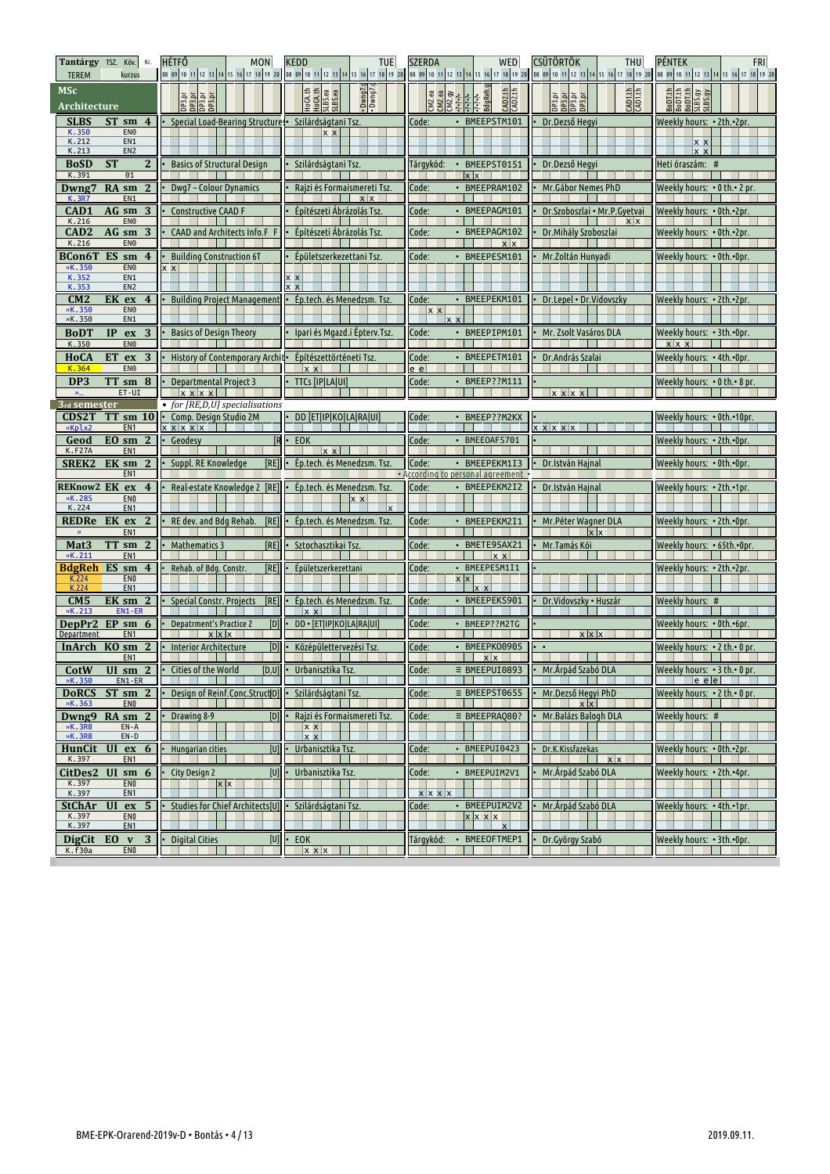| Tantárgy TSZ. Köv.<br>Kr.<br><b>TEREM</b><br>kurzus                                      | <b>HÉTFŐ</b><br>MON<br>0 8 89 10 11 12 13 14 15 16 17 18 19 20 10 8 89 10 11 12 13 14 15 16 17 18 19 20 108 89 10 11 12 13 14 15 16 17 18 19 20 10 8 9 10 11 12 13 14 15 16 17 18 19 20 10 11 12 13 14 15 16 17 18 19 20 | <b>KEDD</b><br><b>TUE</b>                                    | <b>SZERDA</b><br>WED                                          | <b>CSÜTÖRTÖK</b><br>THU                                         | PÉNTEK<br><b>FRI</b>                                |
|------------------------------------------------------------------------------------------|--------------------------------------------------------------------------------------------------------------------------------------------------------------------------------------------------------------------------|--------------------------------------------------------------|---------------------------------------------------------------|-----------------------------------------------------------------|-----------------------------------------------------|
| <b>MSc</b><br>Architecture                                                               | <b>DELEN</b><br><b>DELEN</b><br>DELEN<br>DELEN                                                                                                                                                                           | . Duwg.<br>Dwng.<br>HoCA.th<br>HoCA.th<br>SLBS.ea<br>SLBS.ea | وgReh.g.<br>BdgReh.g<br>CAD2.th<br>CM2.ea<br>CM2.gy<br>CM2.gy | CAD1.th<br>CAD1.th<br>na ar<br>Desan<br>Desan<br>Desan<br>Desan | BooT.th<br>BooT.th<br>BooT.th<br>SLBS.gy<br>SLBS.gy |
| <b>SLBS</b><br>$ST \, \text{sm} \, 4$<br>EN <sub>0</sub>                                 | Special Load-Bearing Structures                                                                                                                                                                                          | Szilárdságtani Tsz.                                          | • BMEEPSTM101<br>Code:                                        | Dr.Dezső Hegyi                                                  | Weekly hours: • 2th.•2pr.                           |
| K.350<br>K.212<br>EN1<br>K.213<br>EN <sub>2</sub>                                        |                                                                                                                                                                                                                          | $x \times$                                                   |                                                               |                                                                 | x x<br>$X$ $X$                                      |
| 2 <sup>1</sup><br><b>BoSD</b><br><b>ST</b><br>K.391<br>01                                | <b>Basics of Structural Design</b>                                                                                                                                                                                       | Szilárdságtani Tsz.                                          | BMEEPST0151<br>Tárgykód:<br>$\bullet$<br>$x \times$           | Dr.Dezső Hegyi                                                  | Heti óraszám: #                                     |
| RA sm<br>2<br>Dwng7<br><b>K.3R7</b><br>EN1                                               | Dwg7 – Colour Dynamics                                                                                                                                                                                                   | Rajzi és Formaismereti Tsz.<br>$x \mid x$                    | BMEEPRAM102<br>Code:                                          | Mr. Gábor Nemes PhD                                             | Weekly hours: • 0 th.• 2 pr.                        |
| $AG \,$ sm<br>CAD1<br>3<br>K.216<br>EN <sub>0</sub>                                      | <b>Constructive CAAD F</b>                                                                                                                                                                                               | Építészeti Ábrázolás Tsz                                     | BMEEPAGM101<br>Code:                                          | Dr. Szoboszlai • Mr. P. Gyetvai<br>x x                          | Weekly hours: • 0th.•2pr.                           |
| AG sm<br>CAD <sub>2</sub><br>3<br>K.216<br>EN <sub>0</sub>                               | CAAD and Architects Info.F F                                                                                                                                                                                             | Építészeti Ábrázolás Tsz                                     | Code:<br>· BMEEPAGM102<br>$x \mid x$                          | Dr. Mihály Szoboszlai                                           | Weekly hours: • 0th.•2pr.                           |
| BCon6T<br>ES<br>4<br>sm                                                                  | <b>Building Construction 6T</b>                                                                                                                                                                                          | Épületszerkezettani Tsz                                      | • BMEEPESM101<br>Code:                                        | Mr.Zoltán Hunyadi                                               | Weekly hours: • 0th.•0pr.                           |
| EN <sub>0</sub><br>»K.350<br>K.352<br>EN1<br>K.353<br>EN <sub>2</sub>                    | $x \times$                                                                                                                                                                                                               | x x                                                          |                                                               |                                                                 |                                                     |
| CM2<br>EK ex<br>$\overline{4}$<br>»K.350<br>EN <sub>0</sub><br>»K.350<br>EN <sub>1</sub> | <b>Building Project Management</b>                                                                                                                                                                                       | · Ép.tech. és Menedzsm. Tsz.                                 | • BMEEPEKM101<br>Code:<br><u> x_x</u><br>$x \times$           | Dr.Lepel • Dr.Vidovszky                                         | Weekly hours: • 2th.•2pr.                           |
| IP<br>3<br><b>BoDT</b><br>ex<br>K.350<br>EN <sub>0</sub>                                 | <b>Basics of Design Theory</b>                                                                                                                                                                                           | Ipari és Mgazd.i Épterv.Tsz.                                 | Code:<br>• BMEEPIPM101                                        | Mr. Zsolt Vasáros DLA                                           | Weekly hours: • 3th.•0pr.<br>x   x x                |
| ET<br>3<br><b>HoCA</b><br>ex<br>EN <sub>0</sub><br>K.364                                 | History of Contemporary Archit-                                                                                                                                                                                          | Építészettörténeti Tsz.<br>$x \times$                        | • BMEEPETM101<br>Code:<br><u>e el</u>                         | Dr. András Szalai                                               | Weekly hours: • 4th.•0pr.                           |
| DP <sub>3</sub><br>TT sm 8                                                               | <b>Departmental Project 3</b>                                                                                                                                                                                            | <b>TTCs [IP LA UI]</b>                                       | • BMEEP??M111<br>Code:                                        |                                                                 | Weekly hours: • 0 th.• 8 pr.                        |
| ET-UI<br>3rd semester                                                                    | $x \times x$<br>• for [RE,D,U] specialisations                                                                                                                                                                           |                                                              |                                                               | x x x x                                                         |                                                     |
| <b>CDS2T</b><br>$TT$ sm $10$<br>»Kplx2<br>EN <sub>1</sub>                                | Comp. Design Studio 2M<br>x x x x x                                                                                                                                                                                      | DD [ET IP KO LA RA UI]                                       | • BMEEP??M2KX<br>Code:                                        | x x x x x                                                       | Weekly hours: • 0th.•10pr.                          |
| EO sm<br>$\mathbf{2}$<br>Geod<br><b>K.F27A</b><br>EN <sub>1</sub>                        | <b>IR</b><br>Geodesv                                                                                                                                                                                                     | EOK<br>$x \times$                                            | · BMEEOAFS701<br>Code:                                        |                                                                 | Weekly hours: • 2th.•0pr.                           |
| SREK2<br>EK sm<br>$\mathbf{2}$                                                           | Suppl. RE Knowledge<br>[RE]                                                                                                                                                                                              | Ép.tech. és Menedzsm. Tsz.                                   | • BMEEPEKM1I3<br>Code:                                        | Dr.István Hajnal                                                | Weekly hours: • 0th.•0pr.                           |
|                                                                                          |                                                                                                                                                                                                                          |                                                              |                                                               |                                                                 |                                                     |
| EN <sub>1</sub><br>REKnow2 EK<br>ex<br>$\overline{4}$                                    | Real-estate Knowledge 2 [RE]                                                                                                                                                                                             | Ép.tech. és Menedzsm. Tsz.                                   | • According to personal agreement<br>• BMEEPEKM2I2<br>Code:   | Dr.István Hajnal                                                | Weekly hours: • 2th.•1pr.                           |
| »K.285<br>EN <sub>0</sub><br>K.224<br>EN <sub>1</sub>                                    |                                                                                                                                                                                                                          | $X$ $X$<br>$\mathbf{x}$                                      |                                                               |                                                                 |                                                     |
| REDRe<br>EK<br>$\mathbf{2}$<br>ex<br>EN <sub>1</sub>                                     | RE dev. and Bdg Rehab.<br>[RE]                                                                                                                                                                                           | Ép.tech. és Menedzsm. Tsz.                                   | BMEEPEKM2I1<br>Code:                                          | Mr. Péter Wagner DLA<br>$x \times$                              | Weekly hours: • 2th.•0pr.                           |
| TT sm<br>Mat <sub>3</sub><br>$\mathbf{2}$<br>»K.211<br>EN <sub>1</sub>                   | [RE]<br><b>Mathematics 3</b>                                                                                                                                                                                             | Sztochasztikai Tsz                                           | Code:<br>BMETE95AX21<br>$x \times$                            | Mr.Tamás Kói                                                    | Weekly hours: • 65th.•0pr                           |
| <b>BdgReh ES sm</b><br>$\boldsymbol{4}$                                                  | Rehab. of Bdg. Constr.<br>[RE]                                                                                                                                                                                           | Épületszerkezettani                                          | BMEEPESM1I1<br>Code:<br>٠                                     |                                                                 | Weekly hours: • 2th.•2pr.                           |
| EN <sub>0</sub><br>K.224<br>K.224<br>EN <sub>1</sub>                                     |                                                                                                                                                                                                                          |                                                              | X                                                             |                                                                 |                                                     |
| CM5<br>EK sm<br>2<br>»K.213<br>EN1-ER                                                    | <b>Special Constr. Projects</b><br>[RE]                                                                                                                                                                                  | Ep.tech. és Menedzsm. Tsz.<br>$ x \times$                    | Code:<br>BMEEPEKS901                                          | Dr.Vidovszky • Huszár                                           | Weekly hours: #                                     |
| DepPr2<br>$EP \, \text{sm} \, 6$<br>EN <sub>1</sub><br><b>Department</b>                 | [D]<br><b>Depatrment's Practice 2</b>                                                                                                                                                                                    | DD · [ET IP KO LA RA UI]                                     | • BMEEP??M2TG<br>Code:                                        | $x \mid x \mid x$                                               | Weekly hours: • 0th.•6pr.                           |
| InArch KO sm<br>-2<br>EN <sub>1</sub>                                                    | [D]<br>Interior Architecture                                                                                                                                                                                             | Középülettervezési Tsz                                       | BMEEPK00905<br>Code:<br>x x                                   |                                                                 | Weekly hours: • 2 th.• 0 pr                         |
| CotW<br>»K.350<br>EN1-ER                                                                 | <b>UI</b> sm $2 \cdot$ Cities of the World<br>[D,U]                                                                                                                                                                      | Urbanisztika Tsz.                                            | $\equiv$ BMEEPUI0893<br>Code:                                 | Mr.Árpád Szabó DLA<br>and the state                             | Weekly hours: $\cdot$ 3 th. $\cdot$ 0 pr.<br>e e le |
| <b>DoRCS</b><br>$ST \, \text{sm} \, 2$                                                   | Design of Reinf.Conc.StructiD]                                                                                                                                                                                           | Szilárdságtani Tsz.                                          | Code:<br>$\equiv$ BMEEPST0655                                 | Mr.Dezső Hegyi PhD                                              | Weekly hours: $\cdot$ 2 th. $\cdot$ 0 pr.           |
| »K.363<br>EN <sub>0</sub><br>Dwng9<br>$RA \, \text{sm} \, 2$                             | [D]<br>Drawing 8-9                                                                                                                                                                                                       | Rajzi és Formaismereti Tsz.                                  | $\equiv$ BMEEPRAQ80?<br>Code:                                 | x x <br>Mr. Balázs Balogh DLA                                   | Weekly hours: #                                     |
| »K.3R8<br>$EN - A$<br>»K.3R8<br>$EN-D$                                                   |                                                                                                                                                                                                                          | $x \times$<br>x x                                            |                                                               |                                                                 |                                                     |
| $ex$ 6<br>HunCit<br>UI<br>K.397<br>EN <sub>1</sub>                                       | [U]<br>Hungarian cities                                                                                                                                                                                                  | Urbanisztika Tsz.                                            | Code:<br>· BMEEPUI0423                                        | Dr.K.Kissfazekas<br>$x \mid x$                                  | Weekly hours: • 0th.•2pr.                           |
| CitDes2 UI<br>$\sin 6$<br>K.397<br>EN <sub>0</sub>                                       | City Design 2<br>[U]<br>$x \times$                                                                                                                                                                                       | Urbanisztika Tsz.                                            | Code:<br>BMEEPUIM2V1<br>$\bullet$                             | Mr. Árpád Szabó DLA                                             | Weekly hours: • 2th.•4pr.                           |
| K.397<br>EN <sub>1</sub><br>UI                                                           |                                                                                                                                                                                                                          |                                                              | $x \mid x \mid x \mid x$                                      |                                                                 |                                                     |
| <b>StChAr</b><br>ex <sub>5</sub><br>K.397<br>EN <sub>0</sub><br>K.397                    | Studies for Chief Architects[U]                                                                                                                                                                                          | Szilárdságtani Tsz.                                          | • BMEEPUIM2V2<br>Code:<br>$x \,   \, x \,   \, x$             | Mr. Árpád Szabó DLA                                             | Weekly hours: • 4th.•1pr.                           |
| EN <sub>1</sub><br>EO<br>3<br><b>DigCit</b><br>$\mathbf{v}$<br>K.f30a<br>EN <sub>0</sub> | <b>Digital Cities</b><br>[U]                                                                                                                                                                                             | EOK<br>$x \times x$                                          | BMEEOFTMEP1<br>Tárgykód:                                      | Dr.György Szabó                                                 | Weekly hours: • 3th.•0pr.                           |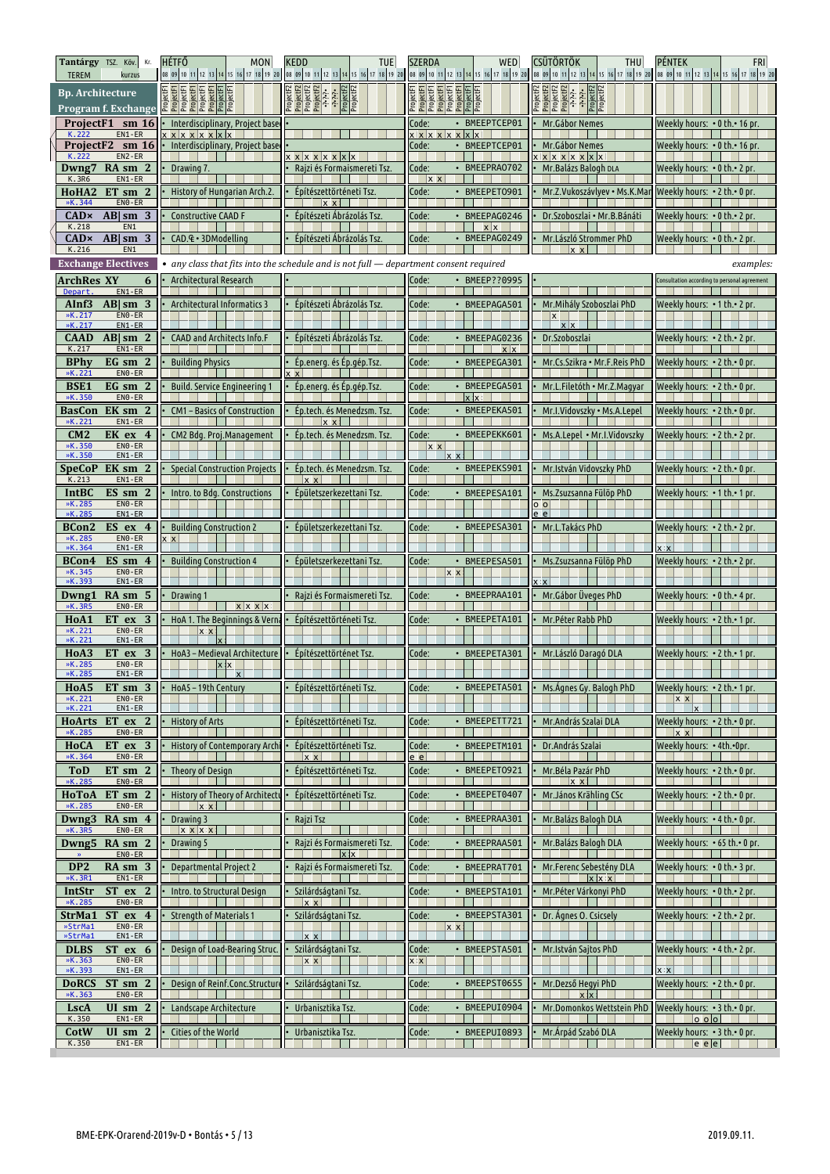| Tantárgy TSZ. Köv. Kr.<br><b>TEREM</b><br>kurzus                            | <b>HÉTFŐ</b><br>MON                                               | <b>KEDD</b><br><b>TUE</b>                                                               | <b>SZERDA</b><br><b>WED</b>                                                | <b>CSÜTÖRTÖK</b><br><b>THU</b><br>08 09 10 11 12 13 14 15 16 17 18 19 20 08 09 10 11 12 13 14 15 16 17 18 19 20 08 09 10 11 12 13 14 15 16 17 18 19 20 08 09 10 11 12 13 14 15 16 17 18 19 20 08 09 10 11 12 13 14 15 16 17 18 19 20 08 09 10 11 12 13 14 15 16 1 | <b>PÉNTEK</b><br>FRI                         |
|-----------------------------------------------------------------------------|-------------------------------------------------------------------|-----------------------------------------------------------------------------------------|----------------------------------------------------------------------------|-------------------------------------------------------------------------------------------------------------------------------------------------------------------------------------------------------------------------------------------------------------------|----------------------------------------------|
| <b>Bp.</b> Architecture<br>Program f. Exchange                              | jectF1<br>jectF1<br><u>je aja aja ajaja</u>                       | ProjectF2<br>ProjectF2<br>ProjectF2<br>ProjectF2<br>- ^^^^<br>ProjectF2<br>ProjectF2    | ProjectF1<br>ProjectF1<br>ProjectF1<br>ProjectF1<br>ProjectF1<br>ProjectF1 | ProjectF2<br>ProjectF2<br>ProjectF2<br>ProjectF2<br>ProjectF2<br>ProjectF2                                                                                                                                                                                        |                                              |
| ProjectF1 sm 16<br>$EN1 - ER$<br>K.222                                      | Interdisciplinary, Project base                                   |                                                                                         | • BMEEPTCEP01<br>Code:                                                     | Mr.Gábor Nemes                                                                                                                                                                                                                                                    | Weekly hours: • 0 th.• 16 pr.                |
| ProjectF2 sm 16<br>$EN2 - ER$<br>K.222                                      | $x \times x \times x \times x$<br>Interdisciplinary, Project base | x x x x x x x x                                                                         | $x \times x \times x \times x$<br>Code:<br>• BMEEPTCEP01                   | Mr.Gábor Nemes<br>x x x x x x x                                                                                                                                                                                                                                   | Weekly hours: • 0 th.• 16 pr                 |
| $RA \, \text{sm} \, 2$<br>Dwng7<br>K.3R6<br>$EN1$ - ER                      | Drawing 7.                                                        | Rajzi és Formaismereti Tsz.                                                             | • BMEEPRA0702<br>Code:<br> x                                               | Mr. Balázs Balogh DLA                                                                                                                                                                                                                                             | Weekly hours: • 0 th.• 2 pr.                 |
| HoHA2<br>$ET \, \text{sm} \, 2$<br>$EN0 - ER$<br>»K.344                     | History of Hungarian Arch.2.                                      | Építészettörténeti Tsz.<br>$x \times$                                                   | Code:<br>• BMEEPET0901                                                     | Mr.Z.Vukoszávlyev • Ms.K.Mar                                                                                                                                                                                                                                      | Weekly hours: • 2 th.• 0 pr.                 |
| CAD×<br>$AB sm$ 3<br>K.218<br>EN1                                           | <b>Constructive CAAD F</b>                                        | Építészeti Ábrázolás Tsz.                                                               | Code:<br>· BMEEPAG0246<br>$x \mid x$                                       | Dr.Szoboszlai · Mr.B.Bánáti                                                                                                                                                                                                                                       | Weekly hours: $\cdot$ 0 th. $\cdot$ 2 pr.    |
| $AB sm$ 3<br>CADx<br>K.216<br>EN1                                           | CAD. £ · 3DModelling                                              | Építészeti Ábrázolás Tsz.                                                               | Code:<br>• BMEEPAG0249                                                     | Mr.László Strommer PhD<br>$x \times$                                                                                                                                                                                                                              | Weekly hours: • 0 th.• 2 pr.                 |
| <b>Exchange Electives</b>                                                   |                                                                   | • any class that fits into the schedule and is not full $-$ department consent required |                                                                            |                                                                                                                                                                                                                                                                   | examples:                                    |
| ArchRes XY<br>6<br>Depart.<br>EN1-ER                                        | Architectural Research                                            |                                                                                         | Code:<br>• BMEEP??0995                                                     |                                                                                                                                                                                                                                                                   | Consultation according to personal agreement |
| $AB sm$ 3<br>AInf3<br>$EN0 - ER$<br>»K.217<br>»K.217<br>$EN1 - ER$          | Architectural Informatics 3                                       | Építészeti Ábrázolás Tsz.                                                               | • BMEEPAGA501<br>Code:                                                     | Mr. Mihály Szoboszlai PhD<br> x <br>$x \mid x$                                                                                                                                                                                                                    | Weekly hours: • 1 th.• 2 pr.                 |
| <b>CAAD</b><br>$AB \mid sm \; 2$<br>EN1-ER                                  | CAAD and Architects Info.F                                        | Építészeti Ábrázolás Tsz.                                                               | • BMEEPAG0236<br>Code:                                                     | Dr.Szoboszlai                                                                                                                                                                                                                                                     | Weekly hours: •2 th.• 2 pr.                  |
| K.217<br><b>BPhy</b><br>EG sm 2                                             | <b>Building Physics</b>                                           | Ép.energ. és Ép.gép.Tsz.                                                                | x x<br>• BMEEPEGA301<br>Code:                                              | Mr.Cs.Szikra • Mr.F.Reis PhD                                                                                                                                                                                                                                      | Weekly hours: •2 th.• 0 pr.                  |
| »K.221<br>EN <sub>0</sub> - ER<br><b>BSE1</b><br>EG sm 2                    | <b>Build. Service Engineering 1</b>                               | Ép.energ. és Ép.gép.Tsz.                                                                | Code:<br>· BMEEPEGA501                                                     | Mr.L.Filetóth • Mr.Z.Magyar                                                                                                                                                                                                                                       | Weekly hours: • 2 th.• 0 pr.                 |
| »K.350<br>$EN0 - ER$<br>EK sm 2<br>BasCon                                   | CM1 - Basics of Construction                                      | Ep.tech. és Menedzsm. Tsz.                                                              | $x \times$<br>Code:<br>• BMEEPEKA501                                       | Mr.I.Vidovszky • Ms.A.Lepel                                                                                                                                                                                                                                       | Weekly hours: • 2 th.• 0 pr.                 |
| »K.221<br>EN1-ER<br>CM2<br>EK ex 4                                          | CM2 Bdg. Proj.Management                                          | $x \overline{x}$<br>Ép.tech. és Menedzsm. Tsz.                                          | Code:<br>• BMEEPEKK601                                                     | Ms.A.Lepel . Mr.I.Vidovszky                                                                                                                                                                                                                                       | Weekly hours: • 2 th.• 2 pr.                 |
| $EN0 - ER$<br>»K.350<br>»K.350<br>EN1-ER                                    |                                                                   |                                                                                         | $x \times$<br>$x \times$                                                   |                                                                                                                                                                                                                                                                   |                                              |
| EK sm 2<br>SpeCoP<br>K.213<br>$EN1 - ER$                                    | <b>Special Construction Projects</b>                              | Ép.tech. és Menedzsm. Tsz.<br>$x \overline{x}$                                          | Code:<br>• BMEEPEKS901                                                     | Mr. István Vidovszky PhD                                                                                                                                                                                                                                          | Weekly hours: $\cdot$ 2 th. $\cdot$ 0 pr.    |
| <b>IntBC</b><br>$ES \, \text{sm}$ 2<br>»K.285<br>ENO-ER<br>»K.285<br>EN1-ER | Intro. to Bdg. Constructions                                      | Épületszerkezettani Tsz                                                                 | Code:<br>• BMEEPESA101                                                     | Ms.Zsuzsanna Fülöp PhD<br>$0$ $0$<br>e el                                                                                                                                                                                                                         | Weekly hours: $\cdot$ 1 th. $\cdot$ 1 pr.    |
| ES ex 4<br>BCon2<br>»K.285<br>EN0-ER                                        | <b>Building Construction 2</b><br>x∶x∣                            | Epületszerkezettani Tsz                                                                 | Code:<br>• BMEEPESA301                                                     | Mr.L.Takács PhD                                                                                                                                                                                                                                                   | Weekly hours: $\cdot$ 2 th. $\cdot$ 2 pr.    |
| »K.364<br>EN1-ER<br>BCon4<br>$ES \, \text{sm} \, 4$                         | <b>Building Construction 4</b>                                    | Épületszerkezettani Tsz                                                                 | Code:<br>• BMEEPESA501                                                     | Ms.Zsuzsanna Fülöp PhD                                                                                                                                                                                                                                            | Weekly hours: • 2 th.• 2 pr.                 |
| »K.345<br>$EN0 - ER$<br>$EN1 - ER$<br>»K.393                                |                                                                   |                                                                                         | x x                                                                        | $\mathbf{x}$                                                                                                                                                                                                                                                      |                                              |
| $RA \, \text{sm} \, 5$<br>Dwng1<br>»K.3R5<br>$EN0 - ER$                     | Drawing 1<br><b>x</b> x x x                                       | Rajzi és Formaismereti Tsz.                                                             | Code:<br>· BMEEPRAA101                                                     | Mr. Gábor Üveges PhD                                                                                                                                                                                                                                              | Weekly hours: • 0 th.• 4 pr.                 |
| ET ex 3<br>H <sub>o</sub> A <sub>1</sub><br>»K.221<br>$EN0 - ER$            | HoA 1. The Beginnings & Verna<br>$x \times$                       | Építészettörténeti Tsz.                                                                 | Code:<br>• BMEEPETA101                                                     | Mr. Péter Rabb PhD                                                                                                                                                                                                                                                | Weekly hours: • 2 th.• 1 pr.                 |
| »K.221<br>EN1-ER<br>H <sub>o</sub> A <sub>3</sub><br>ET ex 3                | HoA3 - Medieval Architecture                                      | Építészettörténet Tsz.                                                                  | • BMEEPETA301<br>Code:                                                     | Mr.László Daragó DLA                                                                                                                                                                                                                                              | Weekly hours: $\cdot$ 2 th. $\cdot$ 1 pr.    |
| »K.285<br>$EN0 - ER$<br>»K.285<br>EN1-ER                                    | x x                                                               |                                                                                         |                                                                            |                                                                                                                                                                                                                                                                   |                                              |
| $ET \, \text{sm} \, 3$<br>HoA5<br>$EN0 - ER$<br>»K.221                      | HoA5-19th Century                                                 | Építészettörténeti Tsz.                                                                 | Code:<br>· BMEEPETA501                                                     | Ms. Agnes Gy. Balogh PhD                                                                                                                                                                                                                                          | Weekly hours: • 2 th. • 1 pr.<br>$x \times$  |
| »K.221<br>EN1-ER<br>ET ex 2<br>HoArts                                       | <b>History of Arts</b>                                            | Építészettörténeti Tsz.                                                                 | • BMEEPETT721<br>Code:                                                     | Mr. András Szalai DLA                                                                                                                                                                                                                                             | $\mathbf{x}$<br>Weekly hours: • 2 th.• 0 pr. |
| »K.285<br>$EN0 - ER$<br><b>HoCA</b><br>$ET$ ex 3<br>$EN0 - ER$<br>»K.364    | History of Contemporary Archi                                     | Építészettörténeti Tsz.<br>x x                                                          | Code:<br>• BMEEPETM101<br>e e                                              | Dr. András Szalai                                                                                                                                                                                                                                                 | $x \times$<br>Weekly hours: • 4th.•0pr.      |
| <b>ToD</b><br>$ET \, \text{sm} \, 2$<br>EN0-ER<br>»K.285                    | Theory of Design                                                  | Építészettörténeti Tsz.                                                                 | Code:<br>• BMEEPET0921                                                     | Mr.Béla Pazár PhD<br>$x \times 1$                                                                                                                                                                                                                                 | Weekly hours: • 2 th.• 0 pr.                 |
| $ET \, \text{sm} \, 2$<br>НоТоА<br>$EN0 - ER$<br>»K.285                     | History of Theory of Architectu<br>$x \times$                     | Építészettörténeti Tsz.                                                                 | Code:<br>• BMEEPET0407                                                     | Mr.János Krähling CSc                                                                                                                                                                                                                                             | Weekly hours: • 2 th. • 0 pr.                |
| Dwng3<br>$RA \, \text{sm} \, 4$<br>ENO-ER<br>»K.3R5                         | Drawing 3<br><b>XXXX</b>                                          | Rajzi Tsz                                                                               | Code:<br>• BMEEPRAA301                                                     | Mr. Balázs Balogh DLA                                                                                                                                                                                                                                             | Weekly hours: • 4 th. • 0 pr.                |
| Dwng5<br>RA sm 2<br>$EN0 - ER$                                              | Drawing 5                                                         | Rajzi és Formaismereti Tsz.<br>$\mathbf{x}$                                             | Code:<br>• BMEEPRAA501                                                     | Mr. Balázs Balogh DLA                                                                                                                                                                                                                                             | Weekly hours: • 65 th.• 0 pr.                |
| DP <sub>2</sub><br>RA sm 3<br>»K.3R1<br>$EN1 - ER$                          | <b>Departmental Project 2</b>                                     | Rajzi és Formaismereti Tsz.                                                             | • BMEEPRAT701<br>Code:                                                     | Mr.Ferenc Sebestény DLA<br>$x \times x$                                                                                                                                                                                                                           | Weekly hours: • 0 th.• 3 pr.                 |
| ST ex 2<br>IntStr<br>$EN0$ - ER<br>»K.285                                   | Intro. to Structural Design                                       | Szilárdságtani Tsz.<br>$x \times 1$                                                     | Code:<br>• BMEEPSTA101                                                     | Mr. Péter Várkonyi PhD                                                                                                                                                                                                                                            | Weekly hours: • 0 th.• 2 pr.                 |
| StrMa1<br>ST ex 4<br>$EN0 - ER$<br>»StrMa1                                  | <b>Strength of Materials 1</b>                                    | Szilárdságtani Tsz.                                                                     | • BMEEPSTA301<br>Code:<br>x x                                              | Dr. Ágnes O. Csicsely                                                                                                                                                                                                                                             | Weekly hours: • 2 th.• 2 pr.                 |
| »StrMa1<br>EN1-ER<br>$ST$ ex 6<br><b>DLBS</b>                               | Design of Load-Bearing Struc.                                     | $x \times$<br>Szilárdságtani Tsz.                                                       | Code:<br>• BMEEPSTA501                                                     | Mr.István Sajtos PhD                                                                                                                                                                                                                                              | Weekly hours: • 4 th.• 2 pr.                 |
| »K.363<br>$EN0 - ER$<br>»K.393<br>EN1-ER                                    |                                                                   | x x                                                                                     | $x \times$                                                                 |                                                                                                                                                                                                                                                                   | $x \times$                                   |
| $ST \, \text{sm} \, 2$<br><b>DoRCS</b><br>$EN0 - ER$<br>»K.363              | Design of Reinf.Conc.Structure                                    | Szilárdságtani Tsz.                                                                     | • BMEEPST0655<br>Code:                                                     | Mr.Dezső Hegyi PhD<br>x x                                                                                                                                                                                                                                         | Weekly hours: • 2 th.• 0 pr.                 |
| UI sm 2<br><b>LscA</b><br>$EN1 - ER$<br>K.350                               | Landscape Architecture                                            | Urbanisztika Tsz.                                                                       | · BMEEPUI0904<br>Code:                                                     | Mr.Domonkos Wettstein PhD                                                                                                                                                                                                                                         | Weekly hours: • 3 th. • 0 pr.<br>lo olol     |
| CotW<br>UI sm $2$<br>$EN1 - ER$<br>K.350                                    | Cities of the World                                               | Urbanisztika Tsz.                                                                       | BMEEPUI0893<br>Code:                                                       | Mr. Árpád Szabó DLA                                                                                                                                                                                                                                               | Weekly hours: • 3 th.• 0 pr.<br> e e         |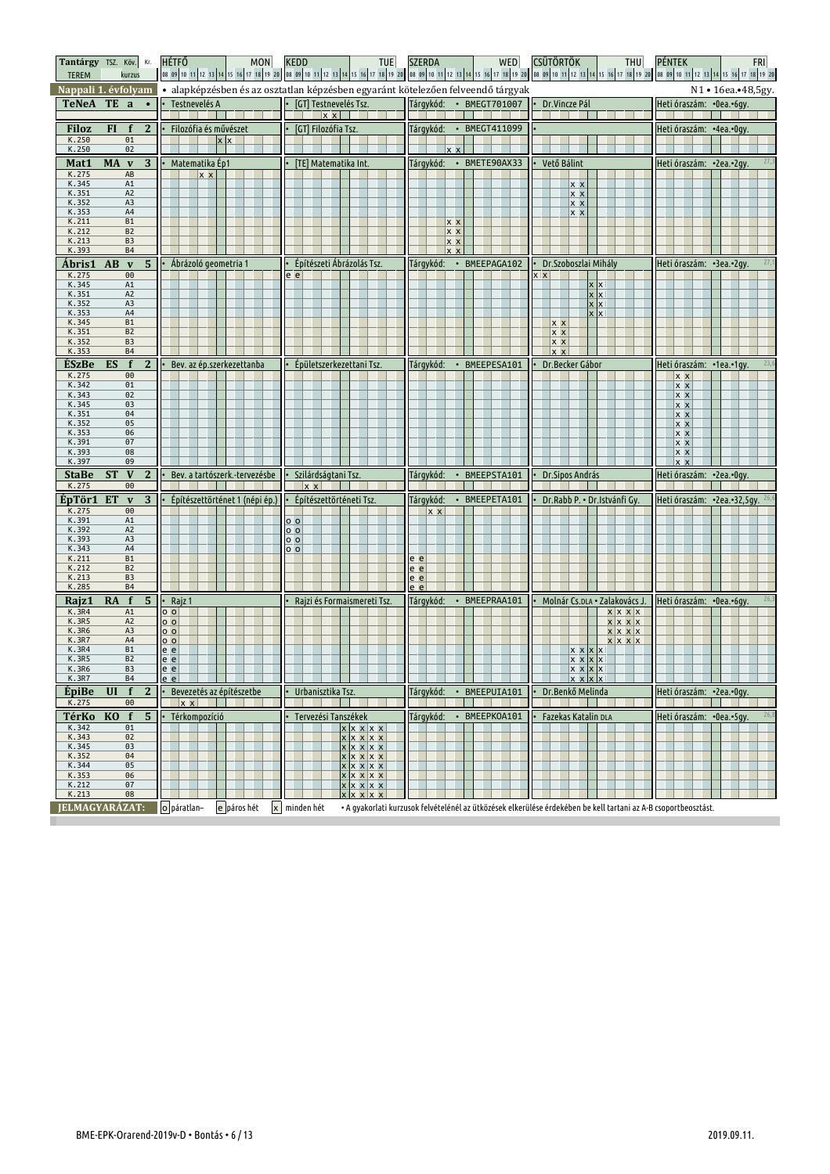| <b>TEREM</b>                         |                | Tantárgy TSZ. Köv. Kr.<br>kurzus |                | <b>HÉTFŐ</b><br>MON                                      | <b>KEDD</b><br>TUE                  | WED<br><b>SZERDA</b>                                                                                            | <b>CSÜTÖRTÖK</b><br>THU                                                                                                                                             | PÉNTEK<br><b>FRI</b><br>08 09 10 11 12 13 14 15 16 17 18 19 20 08 09 10 11 12 13 14 15 16 17 18 19 20 08 09 10 11 12 13 14 15 16 17 18 19 20 08 09 10 11 12 13 14 15 16 17 18 19 20 09 10 11 12 13 14 15 16 17 18 19 20 |
|--------------------------------------|----------------|----------------------------------|----------------|----------------------------------------------------------|-------------------------------------|-----------------------------------------------------------------------------------------------------------------|---------------------------------------------------------------------------------------------------------------------------------------------------------------------|-------------------------------------------------------------------------------------------------------------------------------------------------------------------------------------------------------------------------|
| Nappali 1. évfolyam                  |                |                                  |                |                                                          |                                     | · alapképzésben és az osztatlan képzésben egyaránt kötelezően felveendő tárgyak                                 |                                                                                                                                                                     | N1 • 16ea.•48,5gy.                                                                                                                                                                                                      |
| <b>TeNeA</b>                         |                | TE a ·                           |                | Testnevelés A                                            | [GT] Testnevelés Tsz.<br>$x \times$ | Tárgykód:<br>• BMEGT701007                                                                                      | Dr.Vincze Pál                                                                                                                                                       | Heti óraszám: • 0ea.• 6gy.                                                                                                                                                                                              |
| <b>Filoz</b>                         | FI.            | $\mathbf{f}$                     | $\mathbf{2}$   | Filozófia és művészet                                    | [GT] Filozófia Tsz.                 | Tárgykód:<br>• BMEGT411099                                                                                      |                                                                                                                                                                     | Heti óraszám: · 4ea.· 0qv.                                                                                                                                                                                              |
| K.250                                |                | 01                               |                | $x \times$                                               |                                     | $x \times$                                                                                                      |                                                                                                                                                                     |                                                                                                                                                                                                                         |
| K.250                                |                | 02                               |                |                                                          |                                     |                                                                                                                 |                                                                                                                                                                     |                                                                                                                                                                                                                         |
| Mat1<br>K.275                        | MA v           | AB                               | 3              | Matematika Ép1<br>$x \times$                             | [TE] Matematika Int.                | Tárgykód: • BMETE90AX33                                                                                         | Vető Bálint                                                                                                                                                         | Heti óraszám: • 2ea.• 2gy.                                                                                                                                                                                              |
| K.345                                |                | A1                               |                |                                                          |                                     |                                                                                                                 | $x \times$                                                                                                                                                          |                                                                                                                                                                                                                         |
| $K.351$<br>$K.352$                   |                | A <sub>2</sub>                   |                |                                                          |                                     |                                                                                                                 | $x \times$                                                                                                                                                          |                                                                                                                                                                                                                         |
| K.353                                |                | A <sub>3</sub><br>A4             |                |                                                          |                                     |                                                                                                                 | $x \times$<br>$x \times$                                                                                                                                            |                                                                                                                                                                                                                         |
| K.211                                |                | <b>B1</b>                        |                |                                                          |                                     | x x                                                                                                             |                                                                                                                                                                     |                                                                                                                                                                                                                         |
| K.212<br>K.213                       |                | B <sub>2</sub><br>B <sub>3</sub> |                |                                                          |                                     | x x                                                                                                             |                                                                                                                                                                     |                                                                                                                                                                                                                         |
| K.393                                |                | <b>B4</b>                        |                |                                                          |                                     | $x \times$<br>$x \times$                                                                                        |                                                                                                                                                                     |                                                                                                                                                                                                                         |
| Ábris1                               | AB             | $\mathbf v$                      | 5              | Ábrázoló geometria 1                                     | Építészeti Ábrázolás Tsz.           | Tárgykód: · BMEEPAGA102                                                                                         | Dr.Szoboszlai Mihály                                                                                                                                                | Heti óraszám: •3ea.•2gy.                                                                                                                                                                                                |
| K.275                                |                | 00                               |                |                                                          | e el                                |                                                                                                                 | $x \mathbf{x}$                                                                                                                                                      |                                                                                                                                                                                                                         |
| K.345                                |                | A1                               |                |                                                          |                                     |                                                                                                                 | $x \times$                                                                                                                                                          |                                                                                                                                                                                                                         |
| K.351<br>K.352                       |                | A <sub>2</sub><br>A3             |                |                                                          |                                     |                                                                                                                 | $x \overline{x}$<br>x x                                                                                                                                             |                                                                                                                                                                                                                         |
| K.353                                |                | A4                               |                |                                                          |                                     |                                                                                                                 | $\mathsf{x}$<br><b>x</b>                                                                                                                                            |                                                                                                                                                                                                                         |
| K.345                                |                | <b>B1</b>                        |                |                                                          |                                     |                                                                                                                 | <b>XX</b>                                                                                                                                                           |                                                                                                                                                                                                                         |
| K.351<br>K.352                       |                | B <sub>2</sub><br>B <sub>3</sub> |                |                                                          |                                     |                                                                                                                 | x x<br><b>x x</b>                                                                                                                                                   |                                                                                                                                                                                                                         |
| K.353                                |                | <b>B4</b>                        |                |                                                          |                                     |                                                                                                                 | $x \times$                                                                                                                                                          |                                                                                                                                                                                                                         |
| ÉSzBe                                | ES             | f                                | $\mathbf{2}$   | Bev. az ép.szerkezettanba                                | Épületszerkezettani Tsz.            | · BMEEPESA101<br>Tárgykód:                                                                                      | Dr.Becker Gábor                                                                                                                                                     | Heti óraszám: · 1ea. · 1gy.                                                                                                                                                                                             |
| K.275                                |                | 00                               |                |                                                          |                                     |                                                                                                                 |                                                                                                                                                                     | $x \times$                                                                                                                                                                                                              |
| K.342                                |                | 01                               |                |                                                          |                                     |                                                                                                                 |                                                                                                                                                                     | $x \times$                                                                                                                                                                                                              |
| K.343                                |                | 02<br>03                         |                |                                                          |                                     |                                                                                                                 |                                                                                                                                                                     | <u> x x</u><br>$x \times$                                                                                                                                                                                               |
| K. 345<br>K. 351<br>K. 352<br>K. 353 |                | 04                               |                |                                                          |                                     |                                                                                                                 |                                                                                                                                                                     | $x \times$                                                                                                                                                                                                              |
|                                      |                | 05                               |                |                                                          |                                     |                                                                                                                 |                                                                                                                                                                     | <u> x x</u>                                                                                                                                                                                                             |
| K.391                                |                | 06<br>07                         |                |                                                          |                                     |                                                                                                                 |                                                                                                                                                                     | <u> x x</u><br>$\overline{x}$ $\overline{x}$                                                                                                                                                                            |
|                                      |                |                                  |                |                                                          |                                     |                                                                                                                 |                                                                                                                                                                     |                                                                                                                                                                                                                         |
|                                      |                | 08                               |                |                                                          |                                     |                                                                                                                 |                                                                                                                                                                     |                                                                                                                                                                                                                         |
| K.393<br>K.397                       |                | 09                               |                |                                                          |                                     |                                                                                                                 |                                                                                                                                                                     | $x \times$<br>$\mathsf{x} \mathsf{x}$                                                                                                                                                                                   |
| <b>StaBe</b><br>K.275                | <b>ST</b>      | $\mathbf{V}$<br>00               | $\bf{2}$       | Bev. a tartószerk.-tervezésbe                            | Szilárdságtani Tsz.<br>$x \times$   | Tárgykód:<br>BMEEPSTA101<br>$\bullet$                                                                           | Dr. Sipos András                                                                                                                                                    | Heti óraszám: • 2ea.• Ogy                                                                                                                                                                                               |
|                                      | ET             | $\mathbf v$                      |                | Építészettörténet 1 (népi ép.)                           | Építészettörténeti Tsz.             | • BMEEPETA101                                                                                                   | Dr.Rabb P. • Dr.Istvánfi Gy.                                                                                                                                        | Heti óraszám: • 2ea.• 32,5gy.                                                                                                                                                                                           |
| ÉpTör1<br>K.275                      |                | $\Theta$                         | $\overline{3}$ |                                                          |                                     | Tárgykód:<br>$x \times$                                                                                         |                                                                                                                                                                     |                                                                                                                                                                                                                         |
| K.391                                |                | A1                               |                |                                                          | 0 <sub>o</sub>                      |                                                                                                                 |                                                                                                                                                                     |                                                                                                                                                                                                                         |
|                                      |                | A <sub>2</sub>                   |                |                                                          | $\circ$ $\circ$                     |                                                                                                                 |                                                                                                                                                                     |                                                                                                                                                                                                                         |
| K.392<br>K.393<br>K.343              |                | A3<br>A4                         |                |                                                          | 0 <sub>o</sub><br>0 <sub>0</sub>    |                                                                                                                 |                                                                                                                                                                     |                                                                                                                                                                                                                         |
| K.211                                |                | <b>B1</b>                        |                |                                                          |                                     | $e$ $e$                                                                                                         |                                                                                                                                                                     |                                                                                                                                                                                                                         |
| K.212<br>K.213                       |                | B <sub>2</sub><br>B <sub>3</sub> |                |                                                          |                                     | $e$ $e$                                                                                                         |                                                                                                                                                                     |                                                                                                                                                                                                                         |
| K.285                                |                | <b>B4</b>                        |                |                                                          |                                     | $\frac{e}{e}$ $\frac{e}{e}$                                                                                     |                                                                                                                                                                     |                                                                                                                                                                                                                         |
| Rajz1                                | RA             | $\mathbf f$                      | $\overline{5}$ | Rajz 1                                                   | Rajzi és Formaismereti Tsz.         | Tárgykód:<br>BMEEPRAA101<br>$\bullet$                                                                           | Molnár Cs.DLA · Zalakovács J.                                                                                                                                       | Heti óraszám: •0ea.•6gy.                                                                                                                                                                                                |
| <b>K.3R4</b>                         |                | A1                               |                | $\circ$ $\circ$                                          |                                     |                                                                                                                 | x x x                                                                                                                                                               |                                                                                                                                                                                                                         |
| K.3R5                                |                | A <sub>2</sub><br>A <sub>3</sub> |                | $\circ$ $\circ$                                          |                                     |                                                                                                                 |                                                                                                                                                                     |                                                                                                                                                                                                                         |
| K.3R6<br>K.3R7                       |                | A4                               |                | $\overline{o}$ $\overline{o}$<br>$\circ$ $\circ$         |                                     |                                                                                                                 | $\begin{array}{c c c c c} \hline \textbf{x} & \textbf{x} & \textbf{x} \\ \hline \textbf{x} & \textbf{x} & \textbf{x} & \textbf{x} \end{array}$<br>$x \mid x \mid x$ |                                                                                                                                                                                                                         |
| K.3R4                                |                | <b>B1</b>                        |                | e e                                                      |                                     |                                                                                                                 | $x \times x$<br>$\mathsf{x}$                                                                                                                                        |                                                                                                                                                                                                                         |
| K.3R5                                |                | B <sub>2</sub><br>B <sub>3</sub> |                | e e                                                      |                                     |                                                                                                                 | x x x x                                                                                                                                                             |                                                                                                                                                                                                                         |
| K.3R6<br>K.3R7                       |                | Β4                               |                | $e$ $e$<br>$e e$ $\vert$ $\vert$ $\vert$ $\vert$ $\vert$ |                                     | .                                                                                                               | <u>x x x x</u><br>X X X X                                                                                                                                           |                                                                                                                                                                                                                         |
| EpiBe                                | UI             | f                                | $\mathbf{2}$   | Bevezetés az építészetbe                                 | Urbanisztika Tsz.                   | Tárgykód: • BMEEPUIA101                                                                                         | Dr.Benkő Melinda                                                                                                                                                    | Heti óraszám: •2ea.•0gy.                                                                                                                                                                                                |
| K.275                                |                | 00                               |                | $x \times$                                               |                                     |                                                                                                                 |                                                                                                                                                                     |                                                                                                                                                                                                                         |
| TérKo                                | K <sub>0</sub> | $\mathbf f$                      | 5 <sup>5</sup> | Térkompozíció                                            | Tervezési Tanszékek                 | Tárgykód:<br>• BMEEPKOA101                                                                                      | Fazekas Katalin DLA                                                                                                                                                 | 26,8<br>Heti óraszám: • 0ea.• 5 qv.                                                                                                                                                                                     |
| K.342<br>K.343                       |                | 01<br>02                         |                |                                                          | x x x x x                           |                                                                                                                 |                                                                                                                                                                     |                                                                                                                                                                                                                         |
| K.345                                |                | 03                               |                |                                                          | x x x x x                           |                                                                                                                 |                                                                                                                                                                     |                                                                                                                                                                                                                         |
| K.352                                |                | 04                               |                |                                                          | x x x x x<br>x x x x x              |                                                                                                                 |                                                                                                                                                                     |                                                                                                                                                                                                                         |
| K.344<br>K.353                       |                | 05<br>06                         |                |                                                          | x x x x x<br>x x x x                |                                                                                                                 |                                                                                                                                                                     |                                                                                                                                                                                                                         |
| K.212                                |                | 07                               |                |                                                          | <u>x x x x</u>                      |                                                                                                                 |                                                                                                                                                                     |                                                                                                                                                                                                                         |
| K.213<br>JELMAGYARÁZAT:              |                | 08                               |                | o páratlan-<br>e páros hét                               | x x x x<br>x minden hét             | • A gyakorlati kurzusok felvételénél az ütközések elkerülése érdekében be kell tartani az A-B csoportbeosztást. |                                                                                                                                                                     |                                                                                                                                                                                                                         |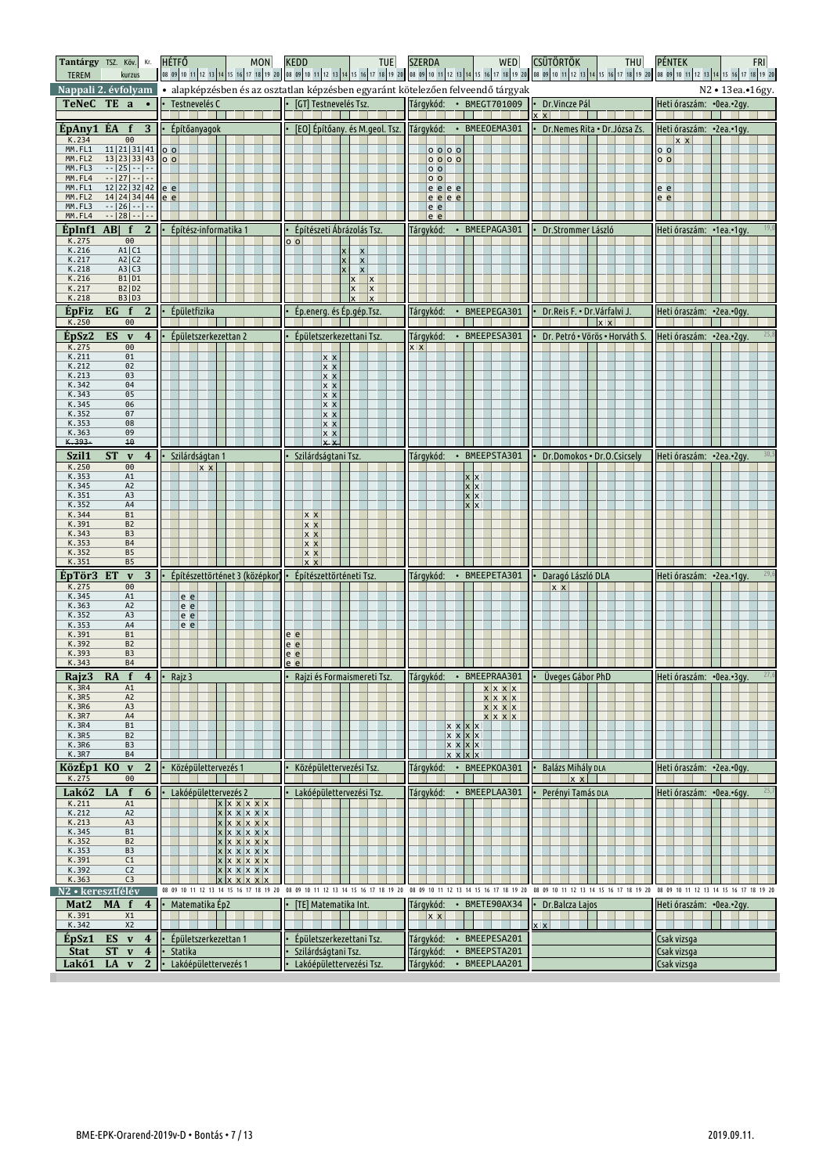| Tantárgy TSZ. Köv. Kr. HÉTFŐ<br><b>TEREM</b><br>kurzus                           | MON                                  | <b>KEDD</b><br><b>TUE</b>                                                     | WED<br><b>SZERDA</b>                                                            | <b>CSÜTÖRTÖK</b><br>THU                | <b>PÉNTEK</b><br><b>FRI</b><br>  08 09 10 11 2 13 14 15 16 17 28  38  08  09 10 11 22 3 14 15 16 17 28  08  09  0  1  2  2  28  18  28  08  0  0  11  2  3  4  5  2  2  2  3  4  5  0  08  0  11  2  3  4  5  6  7  2  3  4  5  6  7  2  3  4  5  20  08  0 |
|----------------------------------------------------------------------------------|--------------------------------------|-------------------------------------------------------------------------------|---------------------------------------------------------------------------------|----------------------------------------|-------------------------------------------------------------------------------------------------------------------------------------------------------------------------------------------------------------------------------------------------------------|
| Nappali 2. évfolyam                                                              |                                      |                                                                               | · alapképzésben és az osztatlan képzésben egyaránt kötelezően felveendő tárgyak |                                        | N2 • 13ea.• 16gy.                                                                                                                                                                                                                                           |
| TeNeC TE a<br>$\cdot$ $\cdot$                                                    | Testnevelés C                        | [GT] Testnevelés Tsz.                                                         | Tárgykód:<br>• BMEGT701009                                                      | Dr.Vincze Pál                          | Heti óraszám: • 0ea.• 2gy.                                                                                                                                                                                                                                  |
|                                                                                  |                                      |                                                                               |                                                                                 | $x \times$                             |                                                                                                                                                                                                                                                             |
| ÉpAny1 ÉA<br>$f \quad 3$<br>K.234<br>00                                          | $\cdot$ Építőanyagok                 | [EO] Építőany. és M.geol. Tsz. Tárgykód:                                      | • BMEEOEMA301                                                                   | Dr.Nemes Rita · Dr.Józsa Zs.           | Heti óraszám: •2ea.•1gy.<br>$x \times$                                                                                                                                                                                                                      |
| MM.FL1<br>$11 21 31 41$ 00<br>MM.FL2<br>13   23   33   43   0 0                  |                                      |                                                                               | $0$ $0$ $0$ $0$                                                                 |                                        | $\overline{\circ}$                                                                                                                                                                                                                                          |
| MM.FL3<br>$-$  25  $-$   $-$                                                     |                                      |                                                                               | 0000<br>$\circ$ $\circ$                                                         |                                        | 0 <sub>0</sub>                                                                                                                                                                                                                                              |
| $-$  27  $-$   $-$<br>MM.FL4<br>MM.FL1<br>12 22 32 42 ee                         |                                      |                                                                               | 0 <sub>o</sub><br>$e$ e $e$                                                     |                                        | $e$ $e$                                                                                                                                                                                                                                                     |
| MM.FL2<br>14 24 34 44 e e                                                        |                                      |                                                                               | e e e e                                                                         |                                        | $\overline{e}$ $\overline{e}$                                                                                                                                                                                                                               |
| MM.FL3<br>$-$   26   $-$   $-$<br>$-$   28   $-$   $-$<br>MM.FL4                 |                                      |                                                                               | e e<br>e e                                                                      |                                        |                                                                                                                                                                                                                                                             |
| <b>EpInf1</b> AB  $f \ 2 \ \cdot\ $ Epítész-informatika 1                        |                                      | Építészeti Ábrázolás Tsz.                                                     | Tárgykód:<br>• BMEEPAGA301                                                      | Dr.Strommer László                     | Heti óraszám: •1ea.•1gy.                                                                                                                                                                                                                                    |
| K.275<br>00<br>K.216<br>A1 C1                                                    |                                      | 0 <sub>o</sub><br>$\boldsymbol{\mathsf{x}}$                                   |                                                                                 |                                        |                                                                                                                                                                                                                                                             |
| K.217<br>A2 C2                                                                   |                                      | $\mathbf{x}$                                                                  |                                                                                 |                                        |                                                                                                                                                                                                                                                             |
| K.218<br>A3 C3<br>K.216<br>B1   D1                                               |                                      | $\pmb{\times}$<br>$x \mid x$                                                  |                                                                                 |                                        |                                                                                                                                                                                                                                                             |
| K.217<br><b>B2   D2</b><br>K.218<br><b>B3   D3</b>                               |                                      | $\vert x \vert$                                                               |                                                                                 |                                        |                                                                                                                                                                                                                                                             |
| <b>EpFiz</b><br>$EG \t f$<br>$\mathbf{2}$                                        | Épületfizika                         | Ép.energ. és Ép.gép.Tsz.                                                      | BMEEPEGA301<br>Tárgykód:<br>$\bullet$                                           | Dr. Reis F. • Dr. Várfalvi J.          | Heti óraszám: •2ea.•0gy.                                                                                                                                                                                                                                    |
| K.250<br>$\Theta\Theta$                                                          |                                      |                                                                               |                                                                                 | $\mathbf{r}$                           |                                                                                                                                                                                                                                                             |
| ÉpSz2<br>ES v<br>$\overline{4}$                                                  | Épületszerkezettan 2                 | Épületszerkezettani Tsz.                                                      | Tárgykód:<br>• BMEEPESA301                                                      | Dr. Petró · Vörös · Horváth S.         | Heti óraszám: • 2ea.• 2gy.                                                                                                                                                                                                                                  |
| K.275<br>$\Theta$<br>K.211<br>01                                                 |                                      | x x                                                                           | x x                                                                             |                                        |                                                                                                                                                                                                                                                             |
| K.212<br>02                                                                      |                                      | x x                                                                           |                                                                                 |                                        |                                                                                                                                                                                                                                                             |
| K.213<br>03<br>K.342<br>04                                                       |                                      | x x<br>$x \times$                                                             |                                                                                 |                                        |                                                                                                                                                                                                                                                             |
| K.343<br>05<br>K.345<br>06                                                       |                                      | x x                                                                           |                                                                                 |                                        |                                                                                                                                                                                                                                                             |
| K.352<br>07                                                                      |                                      | $x \times$<br> x x                                                            |                                                                                 |                                        |                                                                                                                                                                                                                                                             |
| K.353<br>08<br>09<br>K.363                                                       |                                      | x x<br> x x                                                                   |                                                                                 |                                        |                                                                                                                                                                                                                                                             |
| K.393<br>10                                                                      |                                      | lx x                                                                          |                                                                                 |                                        |                                                                                                                                                                                                                                                             |
| Szil1<br><b>ST</b><br>$\mathbf v$<br>$\overline{\mathbf{4}}$                     | Szilárdságtan 1                      | Szilárdságtani Tsz.                                                           | BMEEPSTA301<br>Tárgykód:<br>$\bullet$                                           | Dr.Domokos . Dr.O.Csicsely             | Heti óraszám: •2ea.•2gy.                                                                                                                                                                                                                                    |
| K.250<br>00<br>K.353<br>A1                                                       | $x \times$                           |                                                                               |                                                                                 |                                        |                                                                                                                                                                                                                                                             |
| K.345<br>A <sub>2</sub>                                                          |                                      |                                                                               | x x                                                                             |                                        |                                                                                                                                                                                                                                                             |
| K.351<br>A3<br>K.352<br>A4                                                       |                                      |                                                                               | <b>x</b> X<br><b>x</b>                                                          |                                        |                                                                                                                                                                                                                                                             |
| K.344<br>B1                                                                      |                                      | <b>x x</b>                                                                    |                                                                                 |                                        |                                                                                                                                                                                                                                                             |
| K.391<br>B <sub>2</sub><br>K.343<br>B <sub>3</sub>                               |                                      | $x \times$<br>$x \times$                                                      |                                                                                 |                                        |                                                                                                                                                                                                                                                             |
| K.353<br><b>B4</b><br>K.352<br><b>B5</b>                                         |                                      | $x \times$                                                                    |                                                                                 |                                        |                                                                                                                                                                                                                                                             |
| K.351<br><b>B5</b>                                                               |                                      | <u> x x</u><br>$x \times$                                                     |                                                                                 |                                        |                                                                                                                                                                                                                                                             |
| ÉpTör3<br>3 <sup>1</sup><br>ET<br>$\mathbf v$                                    | Építészettörténet 3 (középkor)       | Építészettörténeti Tsz.                                                       | Tárgykód:<br>• BMEEPETA301                                                      | Daragó László DLA                      | Heti óraszám: • 2ea.• 1 gy                                                                                                                                                                                                                                  |
| K.275<br>$\Theta$<br>K.345<br>A1                                                 | e e                                  |                                                                               |                                                                                 | $x \times$                             |                                                                                                                                                                                                                                                             |
| K.363<br>A <sub>2</sub>                                                          | e e                                  |                                                                               |                                                                                 |                                        |                                                                                                                                                                                                                                                             |
| K.352<br>A <sub>3</sub><br>K.353<br>A4                                           | e e<br>e e                           |                                                                               |                                                                                 |                                        |                                                                                                                                                                                                                                                             |
| K.391<br><b>B1</b><br>K.392<br>B <sub>2</sub>                                    |                                      | e e<br>$e$ $e$                                                                |                                                                                 |                                        |                                                                                                                                                                                                                                                             |
| K.393<br>B <sub>3</sub>                                                          |                                      |                                                                               |                                                                                 |                                        |                                                                                                                                                                                                                                                             |
| K.343<br><b>B4</b>                                                               |                                      | e e                                                                           |                                                                                 |                                        |                                                                                                                                                                                                                                                             |
|                                                                                  |                                      | e e                                                                           |                                                                                 |                                        |                                                                                                                                                                                                                                                             |
| RA $f$ 4 $\cdot$ Rajz 3<br>Rajz3                                                 |                                      |                                                                               | • Rajzi és Formaismereti Tsz.   Tárgykód: • BMEEPRAA301   • Üveges Gábor PhD    |                                        | Heti óraszám: •0ea.•3gy.                                                                                                                                                                                                                                    |
| K.3R4<br>A1<br><b>K.3R5</b><br>A <sub>2</sub>                                    |                                      |                                                                               | $x \mid x \mid x$<br>x x x x                                                    |                                        |                                                                                                                                                                                                                                                             |
| K.3R6<br>A3<br><b>K.3R7</b><br>A4                                                |                                      |                                                                               | $x \,   \, x \,   \, x$                                                         |                                        |                                                                                                                                                                                                                                                             |
| <b>K.3R4</b><br>B1                                                               |                                      |                                                                               | x x x x<br>$x \mid x$<br><b>x</b> x                                             |                                        |                                                                                                                                                                                                                                                             |
| K.3R5<br>B2<br>K.3R6<br>B <sub>3</sub>                                           |                                      |                                                                               | $x \times$<br>$x \mid x$<br>$x \mid x$<br>x x                                   |                                        |                                                                                                                                                                                                                                                             |
| K.3R7<br><b>B4</b>                                                               |                                      |                                                                               | $x \times$<br>$x \mid x$                                                        |                                        |                                                                                                                                                                                                                                                             |
| KözÉp1 KO v<br>$\mathbf{2}$<br>K.275<br>00                                       | Középülettervezés 1                  | Középülettervezési Tsz.                                                       | Tárgykód:<br>BMEEPK0A301<br>$\bullet$                                           | <b>Balázs Mihály DLA</b><br>$x \times$ | Heti óraszám: •2ea.•0gy.                                                                                                                                                                                                                                    |
| Lakó2<br>f<br>6<br>LA                                                            | Lakóépülettervezés 2                 | Lakóépülettervezési Tsz.                                                      | • BMEEPLAA301<br>Tárgykód:                                                      | Perényi Tamás DLA                      | 25,7<br>Heti óraszám: •0ea.•6gy.                                                                                                                                                                                                                            |
| K.211<br>A1<br>K.212<br>A <sub>2</sub>                                           | x x x x x x<br>$x \times x \times x$ |                                                                               |                                                                                 |                                        |                                                                                                                                                                                                                                                             |
| K.213<br>A3                                                                      | $x \times x \times x$                |                                                                               |                                                                                 |                                        |                                                                                                                                                                                                                                                             |
| K.345<br><b>B1</b><br>K.352<br>B <sub>2</sub>                                    | $x \times x \times x$                |                                                                               |                                                                                 |                                        |                                                                                                                                                                                                                                                             |
| K.353<br>B <sub>3</sub><br>K.391<br>C1                                           | $x \times x \times x$<br>x x x x x x |                                                                               |                                                                                 |                                        |                                                                                                                                                                                                                                                             |
| K.392<br>C <sub>2</sub>                                                          | $x \times x \times x$                |                                                                               |                                                                                 |                                        |                                                                                                                                                                                                                                                             |
| K.363<br>C <sub>3</sub>                                                          | x x x x                              | 08 09 10 11 12 13 14 15 16 17 18 19 20 08 09 10 11 12 13 14 15 16 17 18 19 20 | 08 09 10 11 12 13 14 15 16 17 18 19 20                                          |                                        | 08 09 10 11 12 13 14 15 16 17 18 19 20 08 09 10 11 12 13 14 15 16 17 18 19 20                                                                                                                                                                               |
| N2 • keresztf <u>élév</u><br>Mat2<br><b>MA</b><br>$\mathbf{f}$<br>$\overline{4}$ | Matematika Ep2                       | [TE] Matematika Int.                                                          | Tárgykód:<br>BMETE90AX34<br>$\bullet$                                           | Dr. Balcza Lajos                       | Heti óraszám: •0ea.•2gy.                                                                                                                                                                                                                                    |
| K.391<br>X1                                                                      |                                      |                                                                               | $x \times$                                                                      |                                        |                                                                                                                                                                                                                                                             |
| X <sub>2</sub><br>K.342                                                          |                                      |                                                                               |                                                                                 | $x \times$                             |                                                                                                                                                                                                                                                             |
| $ES$ v 4<br>EpSz1<br><b>Stat</b><br><b>ST</b><br>$\overline{4}$<br>$\mathbf{v}$  | Épületszerkezettan 1<br>Statika      | Épületszerkezettani Tsz.<br>Szilárdságtani Tsz.                               | • BMEEPESA201<br>Tárgykód:<br>Tárgykód:<br>BMEEPSTA201<br>$\bullet$             |                                        | Csak vizsga<br>Csak vizsga                                                                                                                                                                                                                                  |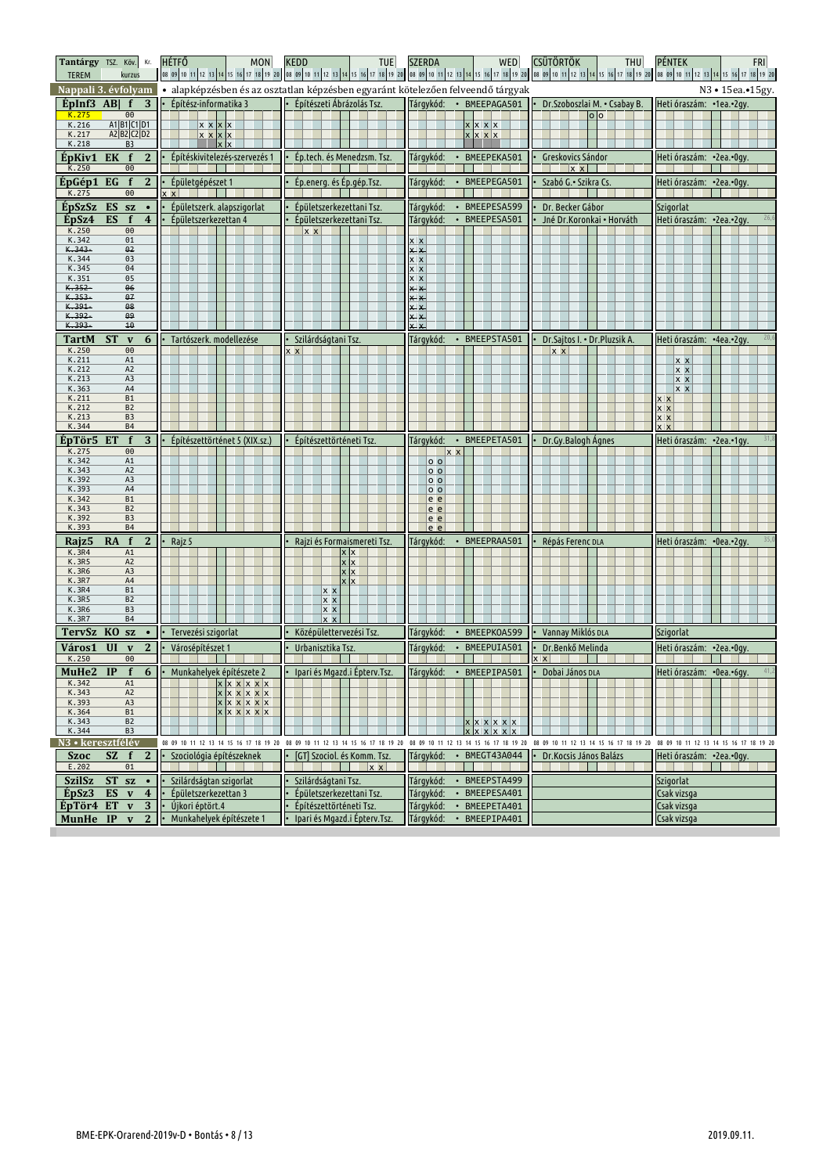| <b>TEREM</b>                  | Tantárgy TSZ. Köv. Kr. HÉTFŐ<br>kurzus    | <b>MON</b>                              | <b>KEDD</b><br>TUE                                                            | WED<br><b>SZERDA</b>                                                            | <b>CSÜTÖRTÖK</b><br>THU                | <b>PÉNTEK</b><br><b>FRI</b><br>08 09 10 11 12 13 14 15 16 17 18 19 20 10 10 11 12 13 14 15 16 17 18 19 20 10 10 11 12 13 14 15 16 17 18 19 20 10 10 11 12 13 14 15 16 17 18 19 20 10 11 12 13 14 15 16 17 18 19 20 |
|-------------------------------|-------------------------------------------|-----------------------------------------|-------------------------------------------------------------------------------|---------------------------------------------------------------------------------|----------------------------------------|--------------------------------------------------------------------------------------------------------------------------------------------------------------------------------------------------------------------|
|                               | Nappali 3. évfolyam                       |                                         |                                                                               | · alapképzésben és az osztatlan képzésben egyaránt kötelezően felveendő tárgyak |                                        | N3 • 15ea.• 15gy.                                                                                                                                                                                                  |
| $ÉDInf3$ ABI $f$              | $\overline{3}$                            | Építész-informatika 3                   | Építészeti Ábrázolás Tsz.                                                     | Tárqykód:<br>· BMEEPAGA501                                                      | Dr.Szoboszlai M. • Csabay B.           | Heti óraszám: •1ea.•2gy.                                                                                                                                                                                           |
| K.275                         | 00                                        |                                         |                                                                               |                                                                                 | 0 <sub>o</sub>                         |                                                                                                                                                                                                                    |
| K.216<br>K.217                | A1 B1 C1 D1<br>A2 B2 C2 D2                | x x x x<br>x x x x                      |                                                                               | x x x x<br>x x x x                                                              |                                        |                                                                                                                                                                                                                    |
| K.218                         | B <sub>3</sub>                            |                                         |                                                                               |                                                                                 |                                        |                                                                                                                                                                                                                    |
| ÉpKiv1                        | $\mathbf{2}$<br>EK<br>f                   | Építéskivitelezés-szervezés 1           | Ép.tech. és Menedzsm. Tsz.                                                    | Tárgykód:<br>BMEEPEKA501                                                        | Greskovics Sándor                      | Heti óraszám: •2ea.•0gy.                                                                                                                                                                                           |
| K.250                         | $\Theta$                                  |                                         |                                                                               |                                                                                 | $x \times$                             |                                                                                                                                                                                                                    |
| EpGép1                        | $\overline{2}$<br>EG<br>$\mathbf f$       | Épületgépészet 1                        | Ép.energ. és Ép.gép.Tsz.                                                      | Tárgykód:<br>• BMEEPEGA501                                                      | Szabó G.• Szikra Cs.                   | Heti óraszám:  •2ea.•0gy.                                                                                                                                                                                          |
| K.275                         | 00                                        | $x \mid$                                |                                                                               |                                                                                 |                                        |                                                                                                                                                                                                                    |
| EpSzSz                        | ES sz<br>$\bullet$                        | Épületszerk. alapszigorlat              | Épületszerkezettani Tsz.                                                      | • BMEEPESA599<br>Tárgykód:                                                      | Dr. Becker Gábor                       | Szigorlat                                                                                                                                                                                                          |
| EpSz4                         | ES<br>$\overline{\mathbf{4}}$<br>f        | Épületszerkezettan 4                    | Épületszerkezettani Tsz.                                                      | Tárgykód:<br>• BMEEPESA501                                                      | Jné Dr.Koronkai · Horváth              | Heti óraszám: • 2ea.• 2gy.                                                                                                                                                                                         |
| K.250<br>K.342                | 00<br>01                                  |                                         | $x \times$                                                                    | $\overline{x}$ $\overline{x}$                                                   |                                        |                                                                                                                                                                                                                    |
| K.343-                        | 02                                        |                                         |                                                                               | $x \times$                                                                      |                                        |                                                                                                                                                                                                                    |
| K.344                         | 03                                        |                                         |                                                                               | x x                                                                             |                                        |                                                                                                                                                                                                                    |
| K.345<br>K.351                | 04<br>05                                  |                                         |                                                                               | <u>x x</u><br>x x                                                               |                                        |                                                                                                                                                                                                                    |
| $K.352 -$                     | 06                                        |                                         |                                                                               | <u>x x</u>                                                                      |                                        |                                                                                                                                                                                                                    |
| $K.353 -$<br>K.391-           | 07<br>08                                  |                                         |                                                                               |                                                                                 |                                        |                                                                                                                                                                                                                    |
| $K.392 -$                     | <del>09</del>                             |                                         |                                                                               | $x \times$<br>X X                                                               |                                        |                                                                                                                                                                                                                    |
| K.393-                        | 10                                        |                                         |                                                                               | $x \times$                                                                      |                                        |                                                                                                                                                                                                                    |
| TartM                         | 6<br><b>ST</b><br>$\mathbf{v}$            | Tartószerk. modellezése                 | Szilárdságtani Tsz.                                                           | Tárgykód:<br>• BMEEPSTA501                                                      | Dr.Sajtos I. • Dr.Pluzsik A.           | Heti óraszám: •4ea.•2gy.                                                                                                                                                                                           |
| K.250                         | 00<br>A1                                  |                                         | x x                                                                           |                                                                                 | <b>x x</b>                             |                                                                                                                                                                                                                    |
| K.211<br>K.212                | A <sub>2</sub>                            |                                         |                                                                               |                                                                                 |                                        | x x<br> x x                                                                                                                                                                                                        |
| K.213                         | A3                                        |                                         |                                                                               |                                                                                 |                                        | x x                                                                                                                                                                                                                |
| K.363<br>K.211                | A4<br><b>B1</b>                           |                                         |                                                                               |                                                                                 |                                        | <u> x x</u>                                                                                                                                                                                                        |
| K.212                         | B <sub>2</sub>                            |                                         |                                                                               |                                                                                 |                                        | <b>XX</b><br><b>x x</b>                                                                                                                                                                                            |
| K.213                         | B <sub>3</sub>                            |                                         |                                                                               |                                                                                 |                                        | x x                                                                                                                                                                                                                |
| K.344                         | <b>B4</b>                                 |                                         |                                                                               |                                                                                 |                                        | <b>Y</b> Y                                                                                                                                                                                                         |
| ÉpTör5<br>K.275               | $\overline{f}$<br>3<br>ET<br>00           | Építészettörténet 5 (XIX.sz.)           | Építészettörténeti Tsz.                                                       | • BMEEPETA501<br>Tárgykód:                                                      | Dr.Gy.Balogh Agnes                     | Heti óraszám: • 2ea.• 1gy.                                                                                                                                                                                         |
| K.342                         | A1                                        |                                         |                                                                               | x x<br>$0$ $0$                                                                  |                                        |                                                                                                                                                                                                                    |
| K.343                         | A2                                        |                                         |                                                                               | o o                                                                             |                                        |                                                                                                                                                                                                                    |
| K.392<br>K.393                | A3<br>A4                                  |                                         |                                                                               | 0 <sub>0</sub><br>0 <sub>0</sub>                                                |                                        |                                                                                                                                                                                                                    |
| K.342                         | <b>B1</b>                                 |                                         |                                                                               | le e                                                                            |                                        |                                                                                                                                                                                                                    |
| K.343<br>K.392                | B <sub>2</sub><br>B <sub>3</sub>          |                                         |                                                                               | le e                                                                            |                                        |                                                                                                                                                                                                                    |
| K.393                         | <b>B4</b>                                 |                                         |                                                                               | <u>le e</u><br>le e                                                             |                                        |                                                                                                                                                                                                                    |
| Rajz <sub>5</sub>             | $\mathbf{2}$<br><b>RA</b><br>$\mathbf{f}$ | Rajz 5                                  | Rajzi és Formaismereti Tsz                                                    | Tárgykód:<br>• BMEEPRAA501                                                      | Répás Ferenc DLA                       | Heti óraszám: •0ea.•2gy.                                                                                                                                                                                           |
| K.3R4                         | A1                                        |                                         | <u>x  </u>                                                                    |                                                                                 |                                        |                                                                                                                                                                                                                    |
| K.3R5<br><b>K.3R6</b>         | A2<br>A3                                  |                                         |                                                                               |                                                                                 |                                        |                                                                                                                                                                                                                    |
| K.3R7                         | A4                                        |                                         |                                                                               |                                                                                 |                                        |                                                                                                                                                                                                                    |
| <b>K.3R4</b>                  | <b>B1</b>                                 |                                         | x x                                                                           |                                                                                 |                                        |                                                                                                                                                                                                                    |
| K.3R5<br>K.3R6                | B <sub>2</sub><br>B <sub>3</sub>          |                                         | x x<br>x x                                                                    |                                                                                 |                                        |                                                                                                                                                                                                                    |
| K.3R7                         | <b>B4</b>                                 |                                         |                                                                               |                                                                                 |                                        |                                                                                                                                                                                                                    |
| TervSz KO sz                  | $\bullet$                                 | Tervezési szigorlat                     | Középülettervezési Tsz.                                                       | • BMEEPKOA599<br>Tárgykód:                                                      | Vannay Miklós DLA                      | Szigorlat                                                                                                                                                                                                          |
| Város1                        | UI<br>2<br>$\mathbf{v}$                   | Városépítészet 1                        | Urbanisztika Tsz.                                                             | Tárgykód:<br>BMEEPUIA501<br>$\bullet$                                           | Dr.Benkő Melinda                       | Heti óraszám: •2ea.•0gy.                                                                                                                                                                                           |
| K.250                         | 00                                        |                                         |                                                                               |                                                                                 | $x \times$                             |                                                                                                                                                                                                                    |
|                               |                                           | MuHe2 IP f 6   Munkahelyek építészete 2 | $\cdot$ Ipari és Mgazd.i Épterv.Tsz.                                          | Tárgykód: • BMEEPIPA501 • Dobai János DLA                                       |                                        | Heti óraszám: • 0ea.• 6gy.                                                                                                                                                                                         |
| K.342                         | A1                                        | x x x x x x                             |                                                                               |                                                                                 |                                        |                                                                                                                                                                                                                    |
| K.343<br>K.393                | A <sub>2</sub><br>A3                      | x x x x x<br>x x x x x x                |                                                                               |                                                                                 |                                        |                                                                                                                                                                                                                    |
| K.364                         | <b>B1</b>                                 | x x x x x x                             |                                                                               |                                                                                 |                                        |                                                                                                                                                                                                                    |
| K.343<br>K.344                | B <sub>2</sub><br>B <sub>3</sub>          |                                         |                                                                               | $x \times x \times x$                                                           |                                        |                                                                                                                                                                                                                    |
| N <sub>3</sub> · keresztfélév |                                           |                                         | 08 09 10 11 12 13 14 15 16 17 18 19 20 08 09 10 11 12 13 14 15 16 17 18 19 20 | 08 09 10 11 12 13 14 15 16 17 18 19 20                                          | 08 09 10 11 12 13 14 15 16 17 18 19 20 | 08 09 10 11 12 13 14 15 16 17 18 19 20                                                                                                                                                                             |
| <b>Szoc</b>                   | $\mathbf{2}$<br>$\mathbf{f}$<br>SZ.       | Szociológia építészeknek                | [GT] Szociol. és Komm. Tsz.                                                   | BMEGT43A044<br>Tárgykód:<br>$\bullet$                                           | Dr.Kocsis János Balázs                 | Heti óraszám: • 2ea.• Ogy.                                                                                                                                                                                         |
| E.202                         | 01                                        |                                         | x                                                                             |                                                                                 | <b>Talling</b>                         |                                                                                                                                                                                                                    |
| SzilSz                        | <b>ST</b><br><b>SZ</b><br>$\bullet$       | Szilárdságtan szigorlat                 | Szilárdságtani Tsz.                                                           | Tárgykód:<br>BMEEPSTA499<br>$\bullet$                                           |                                        | Szigorlat                                                                                                                                                                                                          |
| EpSz3                         | ES<br>$\boldsymbol{4}$<br>$\mathbf v$     | Épületszerkezettan 3                    | Épületszerkezettani Tsz.                                                      | Tárgykód:<br>BMEEPESA401<br>$\bullet$                                           |                                        | Csak vizsga                                                                                                                                                                                                        |
| ÉpTör4 ET                     | 3<br>$\mathbf{v}$                         | Újkori éptört.4                         | Építészettörténeti Tsz.                                                       | Tárgykód:<br>BMEEPETA401<br>$\bullet$                                           |                                        | Csak vizsga                                                                                                                                                                                                        |
| MunHe IP                      | $\mathbf{2}$<br>$\mathbf{v}$              | Munkahelyek építészete 1                | Ipari és Mgazd.i Épterv.Tsz.                                                  | • BMEEPIPA401<br>Tárgykód:                                                      |                                        | Csak vizsga                                                                                                                                                                                                        |
|                               |                                           |                                         |                                                                               |                                                                                 |                                        |                                                                                                                                                                                                                    |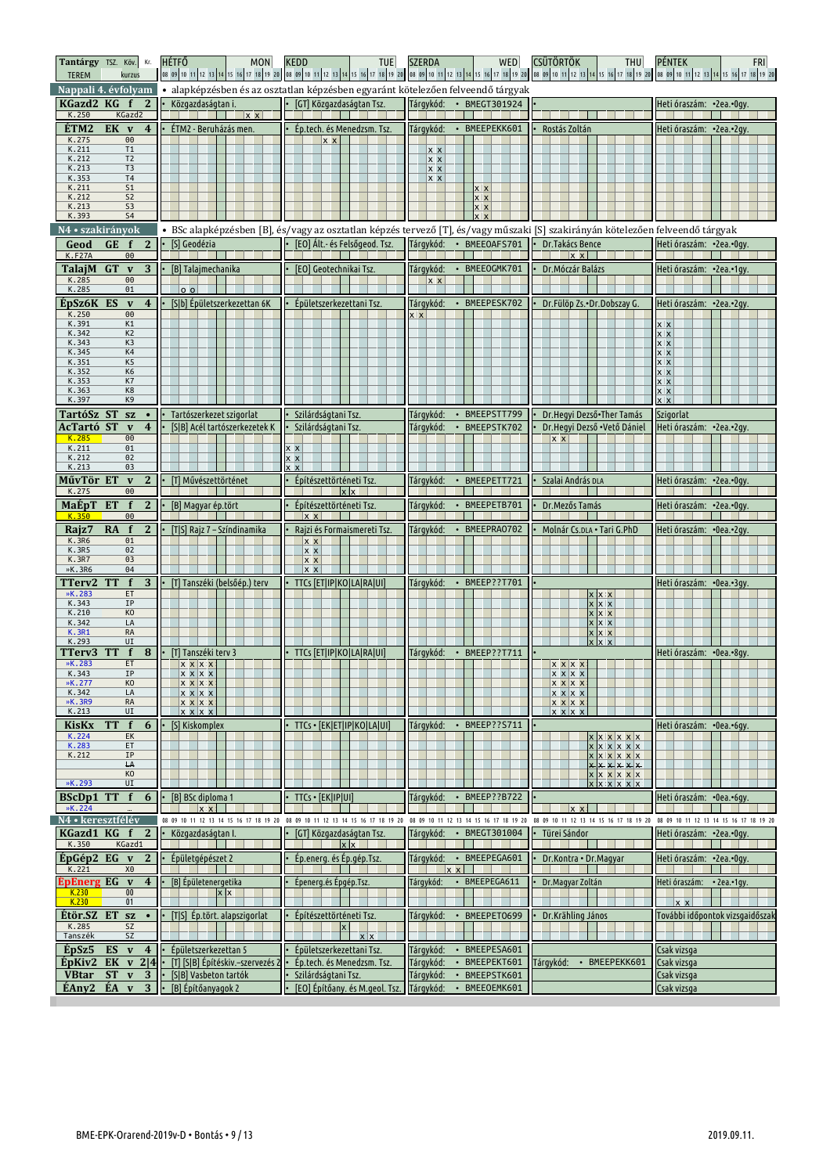| Tantárgy TSZ. Köv. Kr.<br><b>TEREM</b><br>kurzus                    | <b>HÉTFŐ</b><br><b>MON</b>                               | <b>KEDD</b><br>TUE                                                                                                             | WED<br><b>SZERDA</b>                                     | <b>CSÜTÖRTÖK</b><br>THU                        | <b>PÉNTEK</b><br><b>FRI</b>                |
|---------------------------------------------------------------------|----------------------------------------------------------|--------------------------------------------------------------------------------------------------------------------------------|----------------------------------------------------------|------------------------------------------------|--------------------------------------------|
| Nappali 4. évfolyam                                                 |                                                          | · alapképzésben és az osztatlan képzésben egyaránt kötelezően felveendő tárgyak                                                |                                                          |                                                |                                            |
| KGazd2 KG<br>2                                                      | Közgazdaságtan i.                                        | [GT] Közgazdaságtan Tsz.                                                                                                       | Tárgykód:<br>• BMEGT301924                               |                                                | Heti óraszám: • 2ea.• 0qv.                 |
| K.250<br>KGazd2                                                     | $x \times$                                               |                                                                                                                                |                                                          |                                                |                                            |
| ÉTM2<br>EK v<br>$\overline{4}$<br>K.275<br>00                       | ÉTM2 - Beruházás men                                     | Ép.tech. és Menedzsm. Tsz.<br>$x \times$                                                                                       | BMEEPEKK601<br>Tárgykód:                                 | Rostás Zoltán                                  | Heti óraszám: •2ea.•2qy.                   |
| K.211<br>T1                                                         |                                                          |                                                                                                                                | $x \times$                                               |                                                |                                            |
| K.212<br>T <sub>2</sub><br>K.213<br>T <sub>3</sub>                  |                                                          |                                                                                                                                | <u> x x </u><br>$x \times$                               |                                                |                                            |
| K.353<br><b>T4</b>                                                  |                                                          |                                                                                                                                | <u> x x </u>                                             |                                                |                                            |
| K.211<br>K.212<br>S <sub>1</sub><br>S <sub>2</sub>                  |                                                          |                                                                                                                                | x x<br>x x                                               |                                                |                                            |
| K.213<br>53                                                         |                                                          |                                                                                                                                | x x                                                      |                                                |                                            |
| K.393<br>S <sub>4</sub>                                             |                                                          |                                                                                                                                | $x \times$                                               |                                                |                                            |
| N4 • szakirányok                                                    |                                                          | · BSc alapképzésben [B], és/vagy az osztatlan képzés tervező [T], és/vagy műszaki [S] szakirányán kötelezően felveendő tárgyak |                                                          |                                                |                                            |
| $\mathbf{2}$<br>Geod<br>GE<br>f<br><b>K.F27A</b><br>$\Theta$        | [S] Geodézia                                             | [EO] Ált.- és Felsőgeod. Tsz.                                                                                                  | Tárgykód:<br>· BMEEOAFS701                               | Dr.Takács Bence<br>$x \times$                  | Heti óraszám: • 2ea.• Ogy.                 |
| <b>GT</b><br>3<br>TalajM<br>$\mathbf v$                             | [B] Talaimechanika                                       | [EO] Geotechnikai Tsz.                                                                                                         | Tárgykód:<br>• BMEEOGMK701                               | Dr. Móczár Balázs                              | Heti óraszám: • 2ea.• 1gy.                 |
| K.285<br>00                                                         |                                                          |                                                                                                                                | $x \times$                                               |                                                |                                            |
| K.285<br>01                                                         | lo o                                                     |                                                                                                                                |                                                          |                                                |                                            |
| ÉpSz6K ES<br>$\overline{\mathbf{4}}$<br>$\mathbf{v}$<br>K.250<br>00 | [S b] Épületszerkezettan 6K                              | Épületszerkezettani Tsz.                                                                                                       | • BMEEPESK702<br>Tárgykód:<br>$x \times$                 | Dr.Fülöp Zs.•Dr.Dobszay G.                     | Heti óraszám: • 2ea.• 2gy.                 |
| K.391<br>K1                                                         |                                                          |                                                                                                                                |                                                          |                                                | $\frac{x}{x}$ $\frac{x}{x}$                |
| K.342<br>K <sub>2</sub><br>K.343<br>K <sub>3</sub>                  |                                                          |                                                                                                                                |                                                          |                                                | $x \times$                                 |
| K.345<br>K4                                                         |                                                          |                                                                                                                                |                                                          |                                                | $x \times$                                 |
| K.351<br>K5<br>K.352<br>K6                                          |                                                          |                                                                                                                                |                                                          |                                                | $x \times$<br>$x \times$                   |
| K.353<br>K7                                                         |                                                          |                                                                                                                                |                                                          |                                                | $x \times$                                 |
| K.363<br>K8<br>K.397<br>K9                                          |                                                          |                                                                                                                                |                                                          |                                                | $\frac{x}{x}$                              |
| TartóSz ST sz<br>$\bullet$                                          | Tartószerkezet szigorlat                                 | Szilárdságtani Tsz.                                                                                                            | • BMEEPSTT799<br>Tárgykód:                               | Dr.Hegyi Dezső•Ther Tamás                      | Szigorlat                                  |
| AcTartó ST<br>$\mathbf{v}$<br>$\overline{4}$                        | [S B] Acél tartószerkezetek K                            | Szilárdságtani Tsz.                                                                                                            | • BMEEPSTK702<br>Tárgykód:                               | Dr.Hegyi Dezső · Vető Dániel                   | Heti óraszám: · 2ea.· 2gy.                 |
| K.285<br>$\Theta$                                                   |                                                          |                                                                                                                                |                                                          | $x \times$                                     |                                            |
| K.211<br>01<br>K.212<br>02                                          |                                                          | x x<br>$\overline{x}$ $\overline{x}$                                                                                           |                                                          |                                                |                                            |
| K.213<br>03                                                         |                                                          | $x \times$                                                                                                                     |                                                          |                                                |                                            |
| MűvTör ET<br>$\mathbf{v}$<br>$\mathbf{2}$<br>00<br>K.275            | [T] Művészettörténet                                     | Építészettörténeti Tsz.<br>$x \times$                                                                                          | • BMEEPETT721<br>Tárgykód:                               | Szalai András DLA                              | Heti óraszám: • 2ea.• Ogy.                 |
| MaÉpT<br><b>ET</b><br>f<br>$\mathbf{2}$                             | [B] Magyar ép.tört                                       | Építészettörténeti Tsz.                                                                                                        | Tárgykód:<br>BMEEPETB701                                 | Dr. Mezős Tamás                                | Heti óraszám: • 2ea.• Ogy.                 |
| 00<br>K.350                                                         |                                                          | $x \times$                                                                                                                     |                                                          |                                                |                                            |
|                                                                     |                                                          |                                                                                                                                |                                                          |                                                |                                            |
| Rajz7<br>RA<br>f<br>$\mathbf{2}$                                    | [T S] Rajz 7 – Színdinamika                              | Rajzi és Formaismereti Tsz.                                                                                                    | • BMEEPRA0702<br>Tárgykód:                               | Molnár Cs.DLA . Tari G.PhD                     | Heti óraszám: •0ea.•2gy.                   |
| K.3R6<br>01                                                         |                                                          | $x \times$                                                                                                                     |                                                          |                                                |                                            |
| K.3R5<br>02<br>K.3R7<br>03                                          |                                                          | $x \times$<br>$x \times$                                                                                                       |                                                          |                                                |                                            |
| »K.3R6<br>04                                                        |                                                          | lx∶x                                                                                                                           |                                                          |                                                |                                            |
| f<br>3<br>TTerv2 TT                                                 | [T] Tanszéki (belsőép.) terv                             | TTCs [ET IP KO LA RA UI]                                                                                                       | • BMEEP??T701<br>Tárgykód:                               |                                                | Heti óraszám: •0ea.•3gy.                   |
| »K.283<br>ET<br>K.343<br>IP                                         |                                                          |                                                                                                                                |                                                          | x x<br>$x \times x$                            |                                            |
| K.210<br>KO<br>LA                                                   |                                                          |                                                                                                                                |                                                          | x x x                                          |                                            |
| K.342<br><b>K.3R1</b><br><b>RA</b>                                  |                                                          |                                                                                                                                |                                                          | x x x<br>x x x                                 |                                            |
| K.293<br>UI                                                         |                                                          |                                                                                                                                |                                                          | $x \times$                                     |                                            |
| 8<br>TTerv3<br>f<br><b>TT</b><br>»K.283<br>ET                       | [T] Tanszéki terv 3<br>x x x x                           | TTCs [ET IP KO LA RA UI]                                                                                                       | • BMEEP??T711<br>Tárgykód:                               |                                                | Heti óraszám: • 0ea.• 8gy.                 |
| K.343<br>IP                                                         | $x \times x$                                             |                                                                                                                                |                                                          | x x x x<br>x x x x                             |                                            |
| »K.277<br>KO<br>K.342<br>LA                                         | <u>x x x x</u><br>$x \times x$                           |                                                                                                                                |                                                          | <u>x x x x</u><br>$x \times x$                 |                                            |
| »K.3R9<br><b>RA</b><br>UI                                           | x x x x                                                  |                                                                                                                                |                                                          | x x x x<br>x x x x                             |                                            |
| K.213<br><b>TT</b><br>$f \quad 6$<br>KisKx                          | <b>xxxx</b><br>[S] Kiskomplex                            | TTCs · [EK ET IP KO LA UI]                                                                                                     | • BMEEP??S711<br>Tárqykód:                               |                                                | Heti óraszám: • 0ea.• 6gy.                 |
| K.224<br>EK                                                         |                                                          |                                                                                                                                |                                                          | x x x x x                                      |                                            |
| K.283<br>ET<br>K.212<br>IP                                          |                                                          |                                                                                                                                |                                                          | $x \times x \times x$<br>$x \times x \times x$ |                                            |
| H                                                                   |                                                          |                                                                                                                                |                                                          | x x x x                                        |                                            |
| KO<br>»K.293<br>UI                                                  |                                                          |                                                                                                                                |                                                          | x x x x x x<br>$x$ $x$ $x$ $x$ $x$             |                                            |
| <b>BScDp1 TT</b><br>$\mathbf{f}$<br>6                               | [B] BSc diploma 1                                        | TTCs · [EK IP UI]                                                                                                              | Tárgykód:<br>• BMEEP??B722                               |                                                | Heti óraszám: • 0ea.• 6qy.                 |
| »K.224                                                              | <u>vv</u>                                                |                                                                                                                                |                                                          |                                                |                                            |
| N4 · keresztfélév                                                   | 08 09 10 11 12 13 14 15 16 17 18 19 20                   | 08 09 10 11 12 13 14 15 16 17 18 19 20                                                                                         | 08 09 10 11 12 13 14 15 16 17 18 19 20                   | 08 09 10 11 12 13 14 15 16 17 18 19 20         | 08 09 10 11 12 13 14 15 16 17 18 19 20     |
| KGazd1 KG f 2<br>KGazd1<br>K.350                                    | Közgazdaságtan I.                                        | [GT] Közgazdaságtan Tsz.<br>x x                                                                                                | • BMEGT301004<br>Tárgykód:                               | Türei Sándor                                   | Heti óraszám: • 2ea.• Ogy.                 |
| ÉpGép2 EG v<br>2                                                    | Épületgépészet 2                                         | Ép.energ. és Ép.gép.Tsz.                                                                                                       | Tárgykód:<br>· BMEEPEGA601                               | Dr.Kontra . Dr.Magyar                          | Heti óraszám: •2ea.•0gy.                   |
| K.221<br>X <sub>0</sub>                                             |                                                          |                                                                                                                                | $x \times T$                                             |                                                |                                            |
| <b>pEnerg EG</b> v<br>$\overline{4}$                                | [B] Épületenergetika                                     | Épenerg.és Épgép.Tsz.                                                                                                          | BMEEPEGA611<br>Tárgykód:                                 | Dr.Magyar Zoltán                               | Heti óraszám:<br>$\cdot$ 2ea. $\cdot$ 1gy. |
| K.230<br>00<br>K.230<br>01                                          | $x \times$                                               |                                                                                                                                |                                                          |                                                | $x \times$                                 |
| Étör.SZ ET sz                                                       | [T S] Ep.tört. alapszigorlat                             | Építészettörténeti Tsz.                                                                                                        | • BMEEPET0699<br>Tárgykód:                               | Dr.Krähling János                              | További időpontok vizsgaidőszak            |
| K.285<br><b>SZ</b>                                                  |                                                          |                                                                                                                                |                                                          |                                                |                                            |
| Tanszék<br><b>SZ</b>                                                |                                                          | x x                                                                                                                            |                                                          |                                                |                                            |
| EpSz5 ES<br>$v \quad 4$<br>EpKiv2 EK v $2 4 $ .                     | Épületszerkezettan 5<br>[T] [S B] Építéskiv.-szervezés 2 | Épületszerkezettani Tsz.<br>Ép.tech. és Menedzsm. Tsz.                                                                         | Tárgykód:<br>• BMEEPESA601<br>Tárgykód:<br>• BMEEPEKT601 | Tárqykód: • BMEEPEKK601                        | Csak vizsga<br>Csak vizsga                 |
| <b>VBtar</b><br><b>ST</b><br>v <sub>3</sub>                         | [S B] Vasbeton tartók                                    | Szilárdságtani Tsz.                                                                                                            | • BMEEPSTK601<br>Tárgykód:                               |                                                | Csak vizsga                                |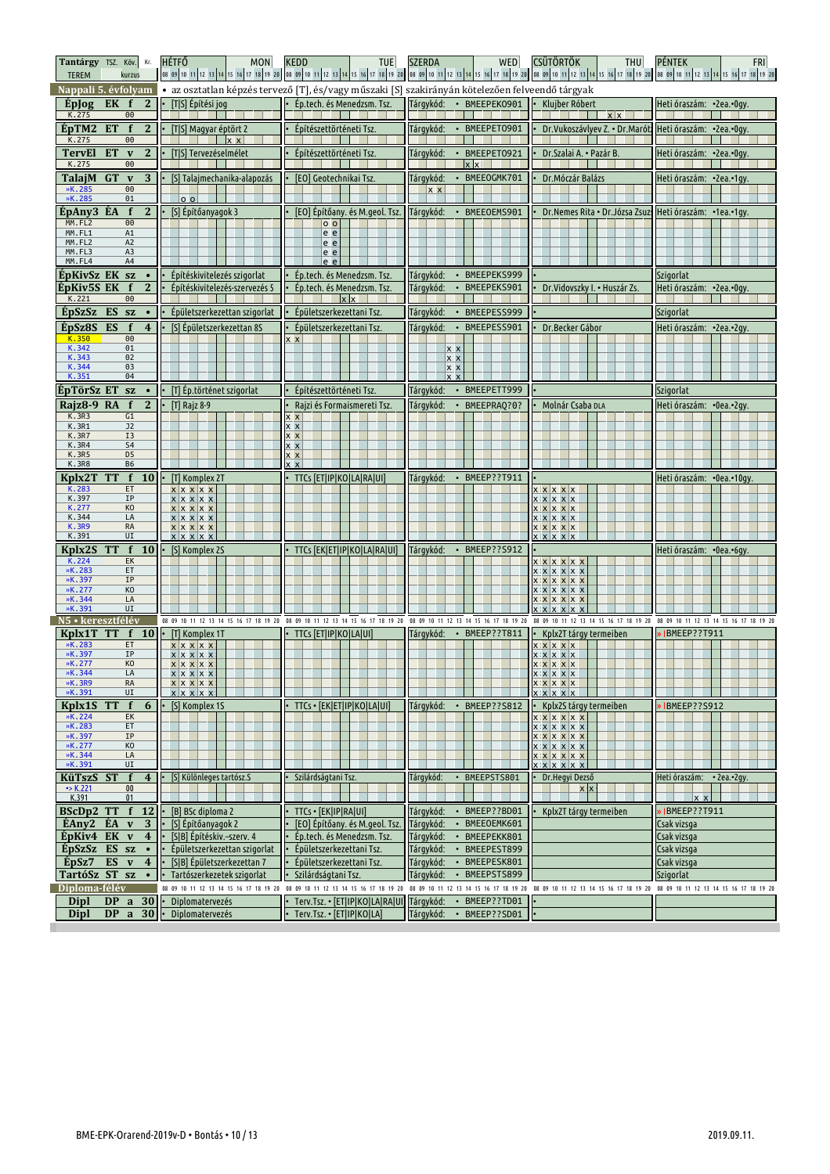| Tantárgy TSZ. Köv. Kr.<br><b>TEREM</b><br>kurzus                                                                       | <b>HÉTFŐ</b><br>MON                                                            | <b>KEDD</b><br><b>TUE</b>                                    | <b>WED</b><br><b>SZERDA</b>                                                                     | <b>CSÜTÖRTÖK</b><br><b>THU</b>                                            | <b>PÉNTEK</b><br>FRI<br>08 09 10 11 12 13 14 15 16 17 18 19 20 08 09 10 11 12 13 14 15 16 17 18 19 20 08 09 10 11 12 13 14 15 16 17 18 20 08 09 10 11 12 13 14 15 16 17 18 19 20 10 11 12 13 14 15 16 17 18 19 20 |
|------------------------------------------------------------------------------------------------------------------------|--------------------------------------------------------------------------------|--------------------------------------------------------------|-------------------------------------------------------------------------------------------------|---------------------------------------------------------------------------|-------------------------------------------------------------------------------------------------------------------------------------------------------------------------------------------------------------------|
| Nappali 5. évfolyam                                                                                                    |                                                                                |                                                              | • az osztatlan képzés tervező [T], és/vagy műszaki [S] szakirányán kötelezően felveendő tárgyak |                                                                           |                                                                                                                                                                                                                   |
| $\mathbf{2}$<br>Eplog<br>EK<br>f<br>K.275<br>00                                                                        | [T S] Építési jog                                                              | Ép.tech. és Menedzsm. Tsz.                                   | Tárgykód:<br>· BMEEPEK0901                                                                      | Klujber Róbert<br>$x \mid x$                                              | Heti óraszám: •2ea.•0gy.                                                                                                                                                                                          |
| 2 <sup>2</sup><br>ÉpTM2<br><b>ET</b><br>$\mathbf f$<br>K.275<br>00                                                     | [T S] Magyar éptört 2<br>$x \times$                                            | Építészettörténeti Tsz.                                      | Tárgykód:<br>· BMEEPET0901                                                                      | Dr.Vukoszávlyev Z. • Dr.Marótz                                            | Heti óraszám: • 2ea.• Ogy.                                                                                                                                                                                        |
| ET<br>$\mathbf{2}$<br><b>TervEl</b><br>$\mathbf v$<br>K.275<br>00                                                      | [T S] Tervezéselmélet                                                          | Építészettörténeti Tsz.                                      | Tárgykód:<br>• BMEEPET0921<br>$x \times$                                                        | Dr. Szalai A. • Pazár B.                                                  | Heti óraszám: • 2ea.• Ogy.                                                                                                                                                                                        |
| TalajM GT<br>3<br>$\mathbf v$                                                                                          | [S] Talaimechanika-alapozás                                                    | [EO] Geotechnikai Tsz.                                       | Tárgykód:<br>• BMEEOGMK701                                                                      | Dr. Móczár Balázs                                                         | Heti óraszám: •2ea.•1gy.                                                                                                                                                                                          |
| »K.285<br>$\Theta$<br>»K.285<br>01                                                                                     | 0 <sub>0</sub>                                                                 |                                                              | $x \times$                                                                                      |                                                                           |                                                                                                                                                                                                                   |
| ÉpAny3 ÉA<br>$\mathbf f$<br>$\mathbf{2}$                                                                               | [S] Építőanyagok 3                                                             | [EO] Építőany. és M.geol. Tsz.                               | Tárgykód:<br>• BMEEOEMS901                                                                      | Dr. Nemes Rita · Dr. Józsa Zsuzs Heti óraszám: · 1ea. · 1gy.              |                                                                                                                                                                                                                   |
| MM.FL2<br>$\Theta$<br>MM.FL1<br>A <sub>1</sub><br>MM.FL2<br>A <sub>2</sub><br>MM.FL3<br>A <sub>3</sub><br>MM.FL4<br>A4 |                                                                                | $\circ$<br>e e<br>e e<br>e e<br>le e                         |                                                                                                 |                                                                           |                                                                                                                                                                                                                   |
| EpKivSz EK sz                                                                                                          | Epítéskivitelezés szigorlat                                                    | Ép.tech. és Menedzsm. Tsz.                                   | Tárgykód:<br>• BMEEPEKS999                                                                      |                                                                           | Szigorlat                                                                                                                                                                                                         |
| $\overline{2}$<br>ÉpKiv5S EK<br>f<br>K.221<br>$\Theta$                                                                 | Építéskivitelezés-szervezés 5                                                  | Ép.tech. és Menedzsm. Tsz.<br>$x \times$                     | Tárgykód:<br>• BMEEPEKS901                                                                      | Dr. Vidovszky I. • Huszár Zs.                                             | Heti óraszám: • 2ea.• Ogy.                                                                                                                                                                                        |
| ÉpSzSz ES sz<br>$\bullet$                                                                                              | Épületszerkezettan szigorlat                                                   | Épületszerkezettani Tsz.                                     | • BMEEPESS999<br>Tárgykód:                                                                      |                                                                           | Szigorlat                                                                                                                                                                                                         |
| ÉpSz8S<br>ES<br>$\overline{4}$<br>f                                                                                    | [S] Epületszerkezettan 8S                                                      | Épületszerkezettani Tsz.                                     | • BMEEPESS901<br>Tárgykód:                                                                      | Dr.Becker Gábor                                                           | Heti óraszám: •2ea.•2gy.                                                                                                                                                                                          |
| K.350<br>00<br>K.342<br>01<br>K.343<br>02<br>K.344<br>03                                                               |                                                                                | x x                                                          | $X$ $X$<br><u> x x</u><br> x x                                                                  |                                                                           |                                                                                                                                                                                                                   |
| K.351<br>04                                                                                                            |                                                                                | Építészettörténeti Tsz.                                      | lx x<br>• BMEEPETT999                                                                           |                                                                           |                                                                                                                                                                                                                   |
| EpTörSz ET<br><b>SZ</b><br>$\overline{2}$<br>Rajz8-9 RA<br>$\mathbf f$                                                 | • [T] Ép.történet szigorlat<br>[T] Rajz 8-9                                    | Rajzi és Formaismereti Tsz.                                  | Tárgykód:<br>Tárgykód:<br>· BMEEPRAQ?0?                                                         | Molnár Csaba DLA                                                          | Szigorlat<br>Heti óraszám: • 0ea.• 2qv.                                                                                                                                                                           |
| <b>K.3R3</b><br>G1                                                                                                     |                                                                                | x x                                                          |                                                                                                 |                                                                           |                                                                                                                                                                                                                   |
| K.3R1<br>J <sub>2</sub><br><b>K.3R7</b><br>I3                                                                          |                                                                                | $x \times$<br>x x                                            |                                                                                                 |                                                                           |                                                                                                                                                                                                                   |
| <b>K.3R4</b><br>S4<br>K.3R5<br>D <sub>5</sub>                                                                          |                                                                                | x x<br>x x                                                   |                                                                                                 |                                                                           |                                                                                                                                                                                                                   |
| <b>K.3R8</b><br><b>B6</b>                                                                                              |                                                                                | $x \times$                                                   |                                                                                                 |                                                                           |                                                                                                                                                                                                                   |
| Kplx2T<br>f<br><b>10</b><br><b>TT</b><br>K.283<br>ET                                                                   | [T] Komplex 2T<br>x x x x x                                                    | TTCs [ET IP KO LA RA UI]                                     | Tárgykód:<br>• BMEEP??T911                                                                      | x x x x x                                                                 | Heti óraszám: • 0ea.• 10gy                                                                                                                                                                                        |
| K.397<br>IP<br>K.277<br>KO<br>K.344<br>LA<br><b>K.3R9</b><br><b>RA</b><br>K.391<br>UI                                  | $x \mid x \mid x \mid x$<br>x x x x x<br>$x \mid x \mid x \mid x$<br>x x x x x |                                                              |                                                                                                 | x x x x x<br>x x x x x<br>$x \times x \times x$<br>x x x x x<br>x x x x x |                                                                                                                                                                                                                   |
| f <sub>10</sub><br>Kplx2S<br><b>TT</b>                                                                                 | x x x x x<br>[S] Komplex 2S                                                    | TTCs [EK ET IP KO LA RA UI]                                  | Tárgykód:<br>• BMEEP??S912                                                                      |                                                                           | Heti óraszám: • 0ea.• 6gy.                                                                                                                                                                                        |
| K.224<br>EK<br>»K.283<br>ET                                                                                            |                                                                                |                                                              |                                                                                                 | x x x x x x<br>x x x x x x                                                |                                                                                                                                                                                                                   |
| »K.397<br>IP<br>»K.277<br>KO                                                                                           |                                                                                |                                                              |                                                                                                 | x x x x x x                                                               |                                                                                                                                                                                                                   |
| »K.344<br>LA                                                                                                           |                                                                                |                                                              |                                                                                                 | x x x x x x<br><b>XXXXXXX</b>                                             |                                                                                                                                                                                                                   |
| »K.391<br>UI<br>N5 · keresztfélév                                                                                      | 08 09 10 11 12 13 14 15 16 17 18 19 20                                         | 08 09 10 11 12 13 14 15 16 17 18 19 20                       | 08 09 10 11 12 13 14 15 16 17 18 19 20                                                          | x x x x x x x<br>08 09 10 11 12 13 14 15 16 17 18 19 20                   | 08 09 10 11 12 13 14 15 16 17 18 19 20                                                                                                                                                                            |
| Kplx1T<br><b>TT</b><br>f $10$                                                                                          | [T] Komplex 1T                                                                 | TTCs [ET IP KO LA UI]                                        | Tárgykód:<br>BMEEP??T811<br>$\bullet$                                                           | Kplx2T tárgy termeiben                                                    | DIBMEEP??T911                                                                                                                                                                                                     |
| »K.283<br>ET<br>»K.397<br>IP                                                                                           | x x x x x<br>$x \times x \times x$                                             |                                                              |                                                                                                 | x x x x x                                                                 |                                                                                                                                                                                                                   |
| »K.277<br>KO<br>»K.344<br>LA                                                                                           |                                                                                |                                                              |                                                                                                 | x x x x x                                                                 |                                                                                                                                                                                                                   |
|                                                                                                                        | x x x x x<br>$x \mid x \mid x \mid x$                                          |                                                              |                                                                                                 | x x x x x<br>x x x x x                                                    |                                                                                                                                                                                                                   |
| »K.3R9<br>RA<br>»K.391<br>UI                                                                                           | x x x x x<br>$x \mid x \mid x \mid x \mid x$                                   |                                                              |                                                                                                 | x x x x x<br>$x \times x \times x$                                        |                                                                                                                                                                                                                   |
| $\mathbf{f}$<br>Kplx1S<br><b>TT</b><br>6                                                                               | [S] Komplex 1S                                                                 | TTCs · [EK ET IP KO LA UI]                                   | Tárgykód:<br>• BMEEP??S812                                                                      | Kplx2S tárgy termeiben                                                    | <b>IBMEEP??S912</b>                                                                                                                                                                                               |
| »K.224<br>EK                                                                                                           |                                                                                |                                                              |                                                                                                 | x x x x x x                                                               |                                                                                                                                                                                                                   |
| »K.283<br>ET<br>»K.397<br>ΙP                                                                                           |                                                                                |                                                              |                                                                                                 | x x x x x x<br>x x x x x x                                                |                                                                                                                                                                                                                   |
| »K.277<br>KO<br>»K.344<br>LA                                                                                           |                                                                                |                                                              |                                                                                                 | x x x x x x                                                               |                                                                                                                                                                                                                   |
| »K.391<br>UI<br>KüTszS ST<br>f<br>$\overline{4}$                                                                       | [S] Különleges tartósz.S                                                       | Szilárdságtani Tsz.                                          | Tárgykód:<br>BMEEPSTS801<br>$\bullet$                                                           | Dr.Hegyi Dezső                                                            | Heti óraszám:<br>$\cdot$ 2ea. $\cdot$ 2gy.                                                                                                                                                                        |
| $\rightarrow$ K.221<br>00                                                                                              |                                                                                |                                                              |                                                                                                 | $x \mid x$                                                                |                                                                                                                                                                                                                   |
| K.391<br>01<br>BScDp2 TT<br>$\mathbf{f}$<br><b>12</b>                                                                  | [B] BSc diploma 2                                                              | TTCs · [EK IP RA UI]                                         | BMEEP??BD01<br>Tárgykód:<br>$\bullet$                                                           | Kplx2T tárgy termeiben                                                    | $\mathbf{x}$<br>IBMEEP??T911                                                                                                                                                                                      |
| ÉAny2 ÉA<br>3<br>$\mathbf v$                                                                                           | [S] Építőanyagok 2                                                             | [EO] Építőany. és M.geol. Tsz.                               | Tárgykód:<br>• BMEEOEMK601                                                                      |                                                                           | Csak vizsga                                                                                                                                                                                                       |
| ÉpKiv4 EK<br>$\mathbf v$<br>$\overline{\mathbf{4}}$                                                                    | [S B] Építéskiv.-szerv. 4                                                      | Ép.tech. és Menedzsm. Tsz.                                   | Tárgykód:<br>· BMEEPEKK801                                                                      |                                                                           | Csak vizsga                                                                                                                                                                                                       |
| ÉpSzSz ES sz<br>$\bullet$<br>ES<br>ÉpSz7<br>$\overline{4}$<br>$\mathbf v$                                              | Épületszerkezettan szigorlat<br>[S B] Épületszerkezettan 7                     | Épületszerkezettani Tsz.<br>Épületszerkezettani Tsz.         | • BMEEPEST899<br>Tárgykód:<br>Tárgykód:<br>BMEEPESK801<br>$\bullet$                             |                                                                           | Csak vizsga<br>Csak vizsga                                                                                                                                                                                        |
| TartóSz ST sz<br>$\bullet$                                                                                             | Tartószerkezetek szigorlat                                                     | Szilárdságtani Tsz.                                          | BMEEPSTS899<br>Tárgykód:<br>$\bullet$                                                           |                                                                           | Szigorlat                                                                                                                                                                                                         |
| Diploma-félév                                                                                                          | 08 09 10 11 12 13 14 15 16 17 18 19 20                                         | 08 09 10 11 12 13 14 15 16 17 18 19 20                       | 08 09 10 11 12 13 14 15 16 17 18 19 20                                                          | 08 09 10 11 12 13 14 15 16 17 18 19 20                                    | 08 09 10 11 12 13 14 15 16 17 18 19 20                                                                                                                                                                            |
| 30<br>Dipl<br><b>DP</b><br>a<br><b>DP</b><br>$\mathbf{a}$<br>30<br>Dipl                                                | <b>Diplomatervezés</b><br><b>Diplomatervezés</b>                               | Terv.Tsz. • [ET IP KO LA RA UI]<br>Terv.Tsz. • [ET IP KO LA] | Tárgykód:<br>BMEEP??TD01<br>$\bullet$<br>Tárgykód:<br>BMEEP??SD01<br>$\bullet$                  |                                                                           |                                                                                                                                                                                                                   |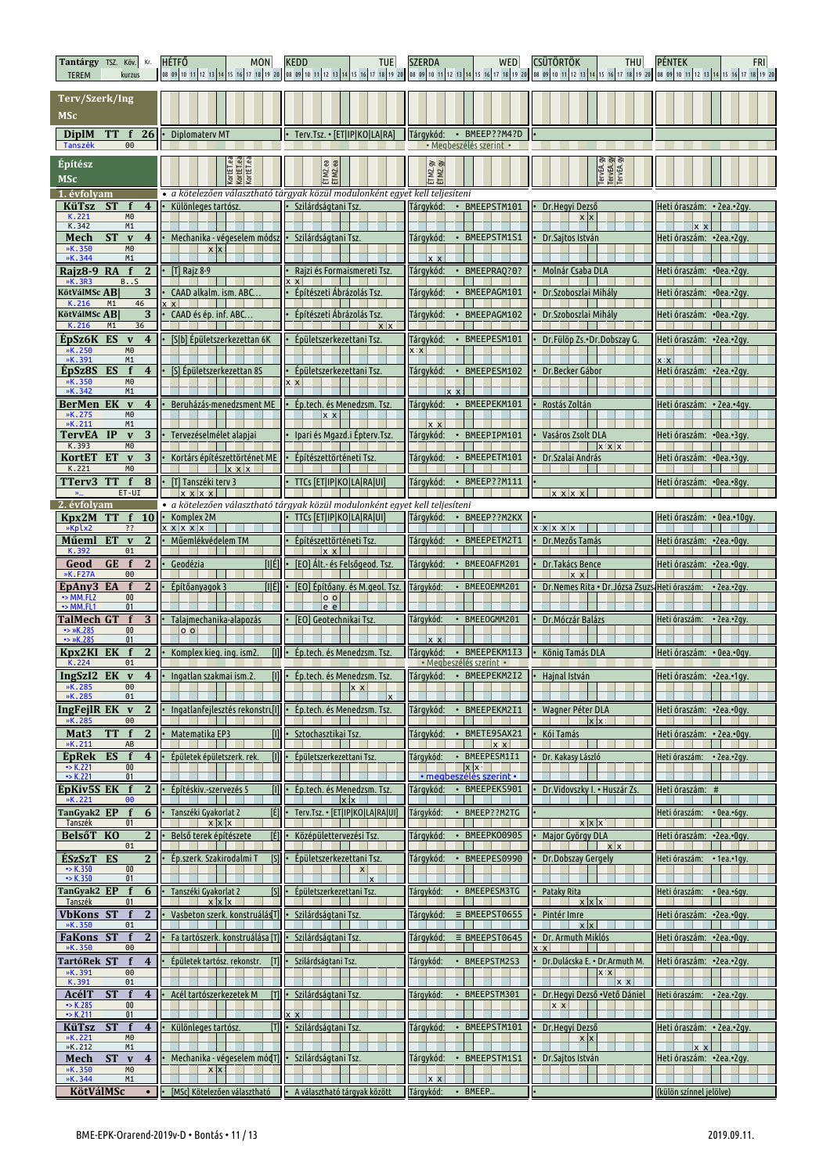| Tantárgy TSZ. Köv. Kr.<br><b>TEREM</b><br>kurzus                                                             | <b>HÉTFŐ</b><br>MON                                      | <b>KEDD</b><br><b>TUE</b>                                                                          | <b>SZERDA</b><br>WED                                               | <b>CSÜTÖRTÖK</b><br>THU<br>08 09 10 11 12 13 14 15 16 17 18 19 20 08 09 10 11 12 13 14 15 16 17 18 19 20 08 09 10 11 12 13 14 15 16 17 18 19 20 08 09 10 11 12 13 14 15 16 17 18 19 20 08 09 10 11 12 13 14 15 16 17 18 19 20 08 09 10 11 12 13 14 15 16 1 | <b>PÉNTEK</b><br><b>FRI</b>                         |
|--------------------------------------------------------------------------------------------------------------|----------------------------------------------------------|----------------------------------------------------------------------------------------------------|--------------------------------------------------------------------|------------------------------------------------------------------------------------------------------------------------------------------------------------------------------------------------------------------------------------------------------------|-----------------------------------------------------|
| Terv/Szerk/Ing<br><b>MSc</b>                                                                                 |                                                          |                                                                                                    |                                                                    |                                                                                                                                                                                                                                                            |                                                     |
| <b>DiplM</b><br>TT f 26<br>Tanszék<br>00                                                                     | Diplomatery MT                                           | Terv.Tsz. • [ET IP KO LA RA]                                                                       | · BMEEP??M4?D<br>Tárgykód:<br>· Megbeszélés szerint ·              |                                                                                                                                                                                                                                                            |                                                     |
| Építész<br><b>MSc</b>                                                                                        | KortET.ea<br>KortET.ea<br>KortET.ea                      | ÉTM2.ea<br>ÉTM2.ea                                                                                 | ETM2.gy                                                            | TervEA.gy<br>TervEA.gy<br>TervEA.gy                                                                                                                                                                                                                        |                                                     |
| 1. évfolvam<br><b>KüTsz</b><br><b>ST</b><br>f<br>4                                                           | Különleges tartósz                                       | · a kötelezően választható tárgyak közül modulonként egyet kell teljesíteni<br>Szilárdságtani Tsz. | Tárgykód:<br>• BMEEPSTM101                                         | Dr.Hegyi Dezső                                                                                                                                                                                                                                             | Heti óraszám: • 2ea.•2qv                            |
| M <sub>0</sub><br>K.221<br>K.342<br>M1                                                                       |                                                          |                                                                                                    |                                                                    | $x \mid x$                                                                                                                                                                                                                                                 |                                                     |
| <b>ST</b><br>Mech<br>$\mathbf{v}$<br>$\overline{\mathbf{4}}$<br>»K.350<br>M <sub>0</sub>                     | Mechanika - végeselem módsz<br><b>x</b> x                | Szilárdságtani Tsz.                                                                                | Tárgykód:<br>• BMEEPSTM1S1                                         | Dr.Sajtos István                                                                                                                                                                                                                                           | Heti óraszám: • 2ea.• 2gy.                          |
| »K.344<br>M1<br>f<br>Rajz8-9 RA<br>$\overline{2}$                                                            | $[T]$ Rajz 8-9                                           | Rajzi és Formaismereti Tsz.                                                                        | $x \times$<br>Tárgykód:<br>· BMEEPRAQ?0?                           | Molnár Csaba DLA                                                                                                                                                                                                                                           | Heti óraszám:  •0ea.•2qv.                           |
| »K.3R3<br>BS<br><b>KötVálMSc AB</b><br>3                                                                     | CAAD alkalm. ism. ABC.                                   | Építészeti Ábrázolás Tsz                                                                           | • BMEEPAGM101<br>Tárgykód:                                         | Dr. Szoboszlai Mihály                                                                                                                                                                                                                                      | Heti óraszám:  •0ea.•2qv.                           |
| K.216<br>46<br>M1<br>KötVálMSc AB<br>3<br>K.216<br>M1<br>36                                                  | $x \times$<br>CAAD és ép. inf. ABC                       | Építészeti Ábrázolás Tsz.<br>$x \mid x$                                                            | Tárgykód:<br>• BMEEPAGM102                                         | Dr.Szoboszlai Mihály                                                                                                                                                                                                                                       | Heti óraszám: • 0ea.• 2gy.                          |
| ÉpSz6K ES<br>$\overline{4}$<br>$\mathbf{v}$<br>»K.250<br>M <sub>0</sub>                                      | [S b] Épületszerkezettan 6K                              | Épületszerkezettani Tsz.                                                                           | • BMEEPESM101<br>Tárgykód:                                         | Dr.Fülöp Zs.•Dr.Dobszay G.                                                                                                                                                                                                                                 | Heti óraszám: • 2ea.• 2gy.                          |
| »K.391<br>M1<br>ÉpSz8S<br>ES<br>f<br>$\overline{4}$                                                          | [S] Épületszerkezettan 8S                                | Epületszerkezettani Tsz                                                                            | $x \times$<br>• BMEEPESM102<br>Tárqykód:                           | Dr.Becker Gábor                                                                                                                                                                                                                                            | x x<br>Heti óraszám: · 2ea.· 2gy.                   |
| »K.350<br>M <sub>0</sub><br>»K.342<br>M1                                                                     |                                                          | <b>x</b> x                                                                                         |                                                                    |                                                                                                                                                                                                                                                            |                                                     |
| <b>BerMen EK</b><br>$\mathbf{v}$<br>$\overline{\mathbf{4}}$<br>»K.275<br>M0                                  | Beruházás-menedzsment ME                                 | Ep.tech. és Menedzsm. Tsz<br>x x                                                                   | · BMEEPEKM101<br>Tárgykód:                                         | Rostás Zoltán                                                                                                                                                                                                                                              | Heti óraszám: • 2ea.•4qy                            |
| K.211<br>M1<br>TervEA<br>IP<br>3<br>$\mathbf{v}$                                                             | Tervezéselmélet alapjai                                  | Ipari és Mgazd.i Épterv.Tsz.                                                                       | $x \times$<br>Tárgykód:<br>BMEEPIPM101                             | Vasáros Zsolt DLA                                                                                                                                                                                                                                          | Heti óraszám: • 0ea.• 3 qv.                         |
| K.393<br>M <sub>0</sub><br>KortET<br><b>ET</b><br>$\mathbf{v}$<br>3                                          | Kortárs építészettörténet ME                             | Epítészettörténeti Tsz.                                                                            | Tárgykód:<br>• BMEEPETM101                                         | $x \times x$<br>Dr. Szalai András                                                                                                                                                                                                                          | Heti óraszám: •0ea.•3qy.                            |
| K.221<br>M <sub>0</sub><br>TTerv3<br><b>TT</b><br>f<br>8                                                     | $x \times x$<br>[T] Tanszéki terv 3                      | <b>TTCs [ET IP KO LA RA UI]</b>                                                                    | Tárgykód:<br>• BMEEP??M111                                         |                                                                                                                                                                                                                                                            | Heti óraszám: •0ea.•8gy.                            |
| ET-UI<br>$\mathbf{w}_{\text{in}}$<br>2. évfolvam                                                             | $x \times x$                                             | · a kötelezően választható tárgyak közül modulonként egyet kell teljesíteni                        |                                                                    | <b>XXXX</b>                                                                                                                                                                                                                                                |                                                     |
| Kpx2M<br><b>TT</b><br>f<br><b>10</b><br>»Kplx2<br>??                                                         | Komplex 2M<br>$x \times x \times x$                      | TTCs [ET IP KO LA RA UI]                                                                           | Tárgykód:<br>• BMEEP??M2KX                                         | x x x x x                                                                                                                                                                                                                                                  | Heti óraszám: • 0ea.•10gy.                          |
| <b>ET</b><br>$\overline{2}$<br>Műeml<br>$\mathbf{v}$<br>K.392<br>01                                          | Műemlékvédelem TM                                        | Építészettörténeti Tsz.<br>$x \times$                                                              | Tárgykód:<br>BMEEPETM2T1                                           | Dr. Mezős Tamás                                                                                                                                                                                                                                            | Heti óraszám: •2ea.•0qv.                            |
| f<br>Geod<br><b>GE</b><br>2<br>»K.F27A<br>00                                                                 | [IIÉ]<br>Geodézia                                        | [EO] Alt.- és Felsőgeod. Tsz.                                                                      | Tárgykód:<br>• BMEEOAFM201                                         | Dr.Takács Bence<br>$x \times$                                                                                                                                                                                                                              | Heti óraszám: •2ea.•0qv.                            |
| ÉpAny3 EA<br>f<br>2<br>$\rightarrow$ MM.FL2<br>00<br>$\rightarrow$ MM.FL1<br>01                              | Építőanvagok 3<br>TILÉ1                                  | [EO] Építőany. és M.qeol. Tsz.<br> 0 <br>e e                                                       | Tárgykód:<br>BMEEOEMM201                                           | Dr. Nemes Rita · Dr. Józsa Zsuzs Heti óraszám:                                                                                                                                                                                                             | $\cdot$ 2ea. $\cdot$ 2gy.                           |
| <b>TalMech GT</b><br>3<br>$\rightarrow$ »K.285<br>00                                                         | Talajmechanika-alapozás<br>$\circ$ $\circ$               | [EO] Geotechnikai Tsz.                                                                             | Tárgykód:<br>• BMEEOGMM201                                         | Dr. Móczár Balázs                                                                                                                                                                                                                                          | Heti óraszám:<br>$\cdot$ 2ea. $\cdot$ 2gy.          |
| $\rightarrow$ »K.285<br>01<br>Kpx2KI<br>EK<br>f<br>$\mathbf{2}$                                              | • Komplex kieg, ing, ism2.                               | [I] . Ép.tech. és Menedzsm. Tsz.                                                                   | $x \times$<br>Tárqykód:<br>• BMEEPEKM1I3                           | • König Tamás DLA                                                                                                                                                                                                                                          | Heti óraszám: • 0ea.•0qy                            |
| K.224<br>01                                                                                                  | IngSzI2 EK v 4 · Ingatlan szakmai ism.2.                 | [I] · Ép.tech. és Menedzsm. Tsz.                                                                   | · Megbeszélés szerint ·<br>Tárgykód: • BMEEPEKM2I2 • Hajnal István |                                                                                                                                                                                                                                                            | Heti óraszám: · 2ea.·1gy.                           |
| »K.285<br>00<br>»K.285<br>01                                                                                 |                                                          | $X$ $X$<br>$\mathbf{x}$                                                                            |                                                                    |                                                                                                                                                                                                                                                            |                                                     |
| IngFeilR EK v<br>2<br>$\Theta$<br>»K.285                                                                     | Ingatlanfejlesztés rekonstru[1]                          | Ép.tech. és Menedzsm. Tsz.                                                                         | Tárgykód:<br>BMEEPEKM2I1                                           | Wagner Péter DLA<br>$\mathbf{x}$                                                                                                                                                                                                                           | Heti óraszám: •2ea.•0gv.                            |
| $\mathbf{2}$<br>$\mathbf f$<br>Mat <sub>3</sub><br>TT.<br>»K.211<br>AB                                       | m<br>Matematika EP3                                      | Sztochasztikai Tsz.                                                                                | Tárgykód:<br>• BMETE95AX21<br>x x                                  | Kói Tamás                                                                                                                                                                                                                                                  | Heti óraszám: • 2ea.•0gy                            |
| ES<br>f<br>$\overline{4}$<br><b>EpRek</b><br>$\rightarrow$ K.221<br>00                                       | m<br>Épületek épületszerk. rek.                          | Épületszerkezettani Tsz.                                                                           | Tárgykód:<br>• BMEEPESM1I1<br>$x \times$                           | Dr. Kakasy László                                                                                                                                                                                                                                          | Heti óraszám: • 2ea.•2gy.                           |
| $\rightarrow$ K.221<br>01<br>ÉpKiv5S EK f<br>$\mathbf{2}$<br>»K.221<br>00                                    | Építéskiy.-szervezés 5<br>m                              | Ép.tech. és Menedzsm. Tsz.<br>$x$ $x$                                                              | <u>• megbeszélés szerint •</u><br>Tárgykód:<br>· BMEEPEKS901       | Dr. Vidovszky I. • Huszár Zs.                                                                                                                                                                                                                              | Heti óraszám: #                                     |
| TanGyak2 EP<br>f<br>6<br>Tanszék<br>01                                                                       | [É]<br>Tanszéki Gyakorlat 2<br>$\mathbf{x}$ $\mathbf{x}$ | Terv.Tsz. • [ET IP KO LA RA UI]                                                                    | BMEEP??M2TG<br>Tárqykód:                                           | $x \times x$                                                                                                                                                                                                                                               | Heti óraszám: • 0ea.•6qy.                           |
| BelsőT KO<br>2<br>01                                                                                         | [É]<br>Belső terek építészete                            | Középülettervezési Tsz.                                                                            | Tárgykód:<br>BMEEPK00905                                           | Major György DLA<br>$x \mid x$                                                                                                                                                                                                                             | Heti óraszám: •2ea.•0gy.<br>×.                      |
| ÉSzSzT<br><b>ES</b><br>$\overline{2}$<br>$\cdot$ > K.350<br>$00\,$                                           | [s]<br>Ép.szerk. Szakirodalmi T                          | Épületszerkezettani Tsz.<br>x                                                                      | Tárgykód:<br>BMEEPES0990                                           | Dr.Dobszay Gergely                                                                                                                                                                                                                                         | Heti óraszám:<br>$\cdot$ 1ea. $\cdot$ 1gy.          |
| $\bullet$ K.350<br>01<br>TanGyak2 EP<br>$\mathbf{f}$<br>6                                                    | · Tanszéki Gyakorlat 2<br>[s]                            | $\mathbf{x}$<br>Épületszerkezettani Tsz.                                                           | Tárqykód:<br>• BMEEPESM3TG                                         | Pataky Rita                                                                                                                                                                                                                                                | Heti óraszám:<br>$\cdot$ 0ea. $\cdot$ 6gy.          |
| Tanszék<br><b>VbKons ST</b><br>f<br>2                                                                        | $x \mid x \mid x$<br>Vasbeton szerk. konstruálásT]       | Szilárdságtani Tsz.                                                                                | Tárgykód:<br>$\equiv$ BMEEPST0655                                  | $x \,   \, x \,   \, x$<br>Pintér Imre                                                                                                                                                                                                                     | Heti óraszám: • 2ea.• Ogy.                          |
| »K.350<br>01<br><b>FaKons ST</b><br>$\mathbf f$<br>$\mathbf{2}$                                              | Fa tartószerk, konstruálása [T]                          | Szilárdságtani Tsz.                                                                                | Tárgykód:<br>$\equiv$ BMEEPST0645                                  | x x <br>Dr. Armuth Miklós                                                                                                                                                                                                                                  | Heti óraszám: •2ea.•0qv.                            |
| »K.350<br>00<br>TartóRek ST<br>f<br>$\overline{4}$                                                           | Épületek tartósz. rekonstr.<br>Ш                         | Szilárdságtani Tsz.                                                                                | Tárqykód:<br>• BMEEPSTM2S3                                         | $\mathbf{x}$<br>Dr.Dulácska E. • Dr.Armuth M.                                                                                                                                                                                                              | Heti óraszám: • 2ea.• 2gy.                          |
| »K.391<br>$\Theta$<br>K.391<br>01                                                                            |                                                          |                                                                                                    |                                                                    | <b>XX</b><br>$x \times$                                                                                                                                                                                                                                    |                                                     |
| AcélT<br><b>ST</b><br>f<br>$\overline{\mathbf{4}}$<br>$\bullet$ K.285<br>$00\,$<br>$\rightarrow$ K.211<br>01 | Acél tartószerkezetek M                                  | Szilárdságtani Tsz.<br>$\vert x \vert$                                                             | Tárqykód:<br>BMEEPSTM301                                           | Dr.Hegyi Dezső · Vető Dániel<br>$x \times$                                                                                                                                                                                                                 | Heti óraszám:<br>$\cdot$ 2ea. $\cdot$ 2gy.          |
| <b>ST</b><br>KüTsz<br>f<br>$\overline{4}$<br>M <sub>0</sub><br>»K.221                                        | Különleges tartósz.<br>ſΤl                               | Szilárdságtani Tsz.                                                                                | • BMEEPSTM101<br>Tárgykód:                                         | Dr.Hegyi Dezső<br><b>x x</b>                                                                                                                                                                                                                               | Heti óraszám: • 2ea.•2gy.                           |
| »K.212<br>M1<br><b>ST</b><br>$\boldsymbol{4}$<br>Mech<br>$\mathbf{v}$                                        | Mechanika - végeselem módT]                              | Szilárdságtani Tsz.                                                                                | • BMEEPSTM1S1<br>Tárgykód:                                         | Dr.Sajtos István                                                                                                                                                                                                                                           | $\mathsf{x} \mathsf{x}$<br>Heti óraszám: •2ea.•2gy. |
| »K.350<br>M <sub>0</sub><br>»K.344<br>M1                                                                     | <b>x x</b>                                               |                                                                                                    | $x \times$                                                         |                                                                                                                                                                                                                                                            |                                                     |
| KötVálMSc<br>$\bullet$                                                                                       | • [MSc] Kötelezően választható                           | · A választható tárgyak között                                                                     | Tárqykód: · BMEEP                                                  |                                                                                                                                                                                                                                                            | (külön színnel jelölve)                             |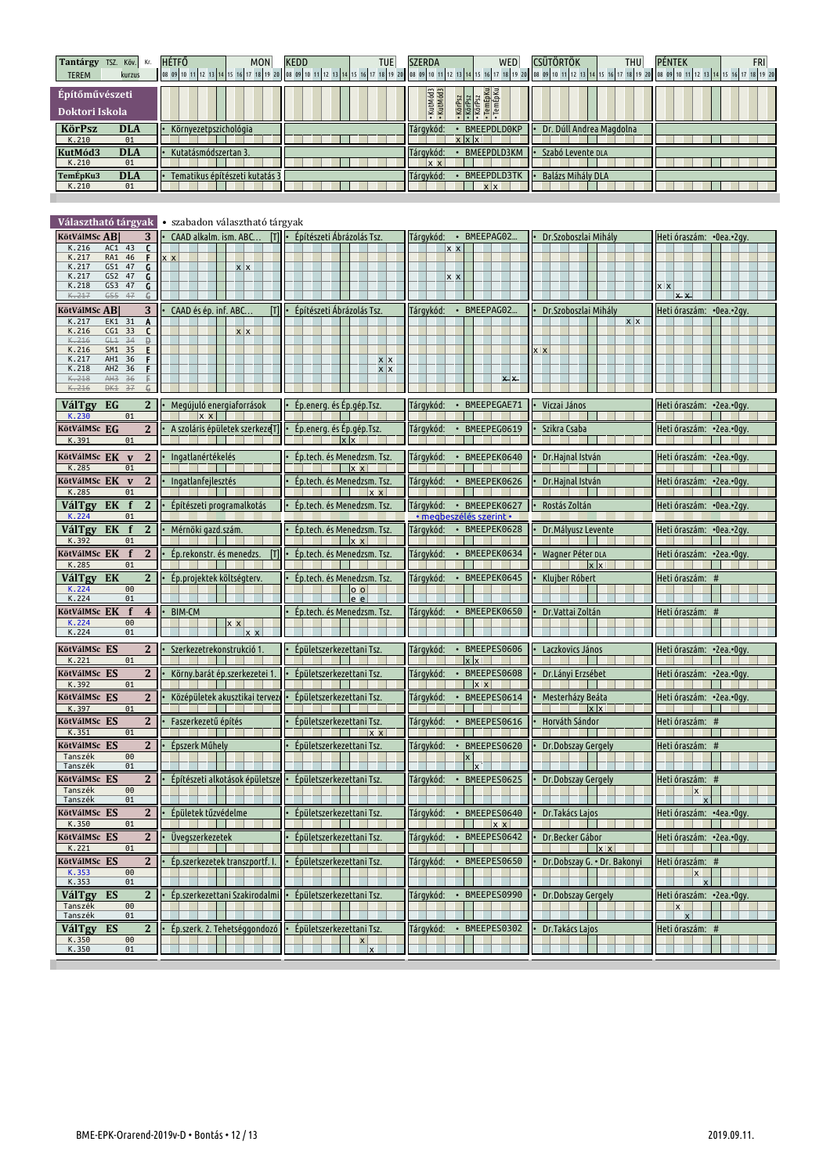| Tantárgy TSZ. Köv. Kr.<br><b>TEREM</b><br>kurzus                      | <b>HÉTFŐ</b><br>MON                                                                      | <b>KEDD</b><br>TUE                                   | <b>SZERDA</b><br>WED                                                             | <b>CSÜTÖRTÖK</b><br><b>THU</b> | PÉNTEK<br><b>FRI</b><br>08 09 10 11 12 13 14 15 16 17 18 19 20 08 09 10 11 12 13 14 15 16 17 18 19 20 08 09 10 11 12 13 14 15 16 17 18 19 20 08 09 10 11 12 13 14 15 16 17 18 19 20 08 09 10 11 12 13 14 15 16 17 18 19 20 |
|-----------------------------------------------------------------------|------------------------------------------------------------------------------------------|------------------------------------------------------|----------------------------------------------------------------------------------|--------------------------------|----------------------------------------------------------------------------------------------------------------------------------------------------------------------------------------------------------------------------|
| Építőművészeti<br>Doktori Iskola                                      |                                                                                          |                                                      | KutMód3<br>KutMód3<br>· KörPsz<br>· KörPsz<br>· KörPsz<br>· TemÉpKu<br>· TemÉpKu |                                |                                                                                                                                                                                                                            |
| <b>KörPsz</b><br><b>DLA</b>                                           | Környezetpszichológia                                                                    |                                                      | • BMEEPDLD0KP<br>Tárgykód:                                                       | Dr. Dúll Andrea Magdolna       |                                                                                                                                                                                                                            |
| K.210<br>01<br>KutMód3<br><b>DLA</b>                                  | Kutatásmódszertan 3                                                                      |                                                      | $x \times x$<br>Tárgykód:<br>• BMEEPDLD3KM                                       | Szabó Levente DLA              |                                                                                                                                                                                                                            |
| K.210<br>01<br><b>DLA</b><br>FemÉpKu3                                 | Tematikus építészeti kutatás 3                                                           |                                                      | $x \times$<br>Tárgykód:<br>• BMEEPDLD3TK                                         | <b>Balázs Mihály DLA</b>       |                                                                                                                                                                                                                            |
| K.210<br>01                                                           |                                                                                          |                                                      | $x \mid x$                                                                       |                                |                                                                                                                                                                                                                            |
|                                                                       |                                                                                          |                                                      |                                                                                  |                                |                                                                                                                                                                                                                            |
| Választható tárgyak<br>3<br>KötVálMSc AB                              | • szabadon választható tárgyak<br>[T]                                                    | Építészeti Ábrázolás Tsz.                            | Tárqykód: · BMEEPAG02                                                            |                                |                                                                                                                                                                                                                            |
| K.216<br>AC1 43<br>C                                                  | CAAD alkalm. ism. ABC                                                                    |                                                      | <u> x x</u>                                                                      | Dr. Szoboszlai Mihály          | Heti óraszám: •0ea.•2gy.                                                                                                                                                                                                   |
| K.217<br>RA1<br>46<br>F.<br>K.217<br>GS1<br>47<br>G                   | $x \times$<br>$x \mid x$                                                                 |                                                      |                                                                                  |                                |                                                                                                                                                                                                                            |
| K.217<br>GS2<br>47<br>G<br>$\overline{\mathsf{G}}$<br>GS3 47<br>K.218 |                                                                                          |                                                      | $x \times$                                                                       |                                | $X$ $X$                                                                                                                                                                                                                    |
| K.217<br>GS5<br>47<br>G.<br>3<br>KötVálMSc AB                         | CAAD és ép. inf. ABC<br>m                                                                | Építészeti Ábrázolás Tsz.                            | Tárgykód:<br>BMEEPAG02.<br>$\bullet$                                             | Dr. Szoboszlai Mihály          | $x - x$<br>Heti óraszám: • 0ea.• 2gy.                                                                                                                                                                                      |
| K.217<br>EK1 31<br>A                                                  |                                                                                          |                                                      |                                                                                  | $x \mid x$                     |                                                                                                                                                                                                                            |
| K.216<br>CG1 33<br>C<br>K.216<br>34<br>GL1<br>Ð                       | $x \mid x$                                                                               |                                                      |                                                                                  |                                |                                                                                                                                                                                                                            |
| K.216<br>SM1 35<br>E<br>K.217<br>AH1 36                               |                                                                                          | x x                                                  |                                                                                  | x x                            |                                                                                                                                                                                                                            |
| K.218<br>AH <sub>2</sub><br>36<br>K.218<br>AH3<br>36                  |                                                                                          | x x                                                  | x x                                                                              |                                |                                                                                                                                                                                                                            |
| K.216<br>DK1<br>37<br>C.                                              |                                                                                          |                                                      |                                                                                  |                                |                                                                                                                                                                                                                            |
| VálTgy<br>EG<br>$\overline{2}$<br>K.230<br>01                         | Megújuló energiaforrások<br>$x \times$                                                   | Ép.energ. és Ép.gép.Tsz.                             | BMEEPEGAE71<br>Tárgykód:<br>$\bullet$                                            | Viczai János                   | Heti óraszám: • 2ea.• Ogy.                                                                                                                                                                                                 |
| KötVálMSc EG<br>$\mathbf{2}$<br>K.391<br>01                           | A szoláris épületek szerkeze[T]                                                          | Ép.energ. és Ép.gép.Tsz.                             | BMEEPEG0619<br>Tárgykód:                                                         | Szikra Csaba                   | Heti óraszám: · 2ea.· 0gy.                                                                                                                                                                                                 |
| KötVálMSc EK v<br>$\overline{2}$<br>K.285<br>01                       | · Ingatlanértékelés                                                                      | Ép.tech. és Menedzsm. Tsz.<br>$x \times$             | · BMEEPEK0640<br>Tárgykód:                                                       | Dr.Hajnal István               | Heti óraszám: • 2ea.• 0qv.                                                                                                                                                                                                 |
| KötVálMSc EK v<br>$\mathbf{2}$<br>K.285<br>01                         | Ingatlanfejlesztés                                                                       | Ép.tech. és Menedzsm. Tsz.<br> x x                   | Tárgykód:<br>· BMEEPEK0626                                                       | Dr.Hajnal István               | Heti óraszám: •2ea.•0gy.                                                                                                                                                                                                   |
| VálTgy EK<br>$\mathbf{f}$<br>$\mathbf{2}$                             | Építészeti programalkotás                                                                | Ép.tech. és Menedzsm. Tsz.                           | Tárgykód:<br>• BMEEPEK0627                                                       | Rostás Zoltán                  | Heti óraszám: • 0ea.• 2gy.                                                                                                                                                                                                 |
| K.224<br>01<br>VálTgy EK f<br>$\mathbf{2}$                            | Mérnöki gazd.szám.                                                                       | Ép.tech. és Menedzsm. Tsz.                           | • megbeszélés szerint •<br>Tárgykód:<br>· BMEEPEK0628                            | Dr.Mályusz Levente             | Heti óraszám: •0ea.•2gy.                                                                                                                                                                                                   |
| K.392<br>01<br>KötVálMSc EK<br>$\mathbf f$<br>$\mathbf{2}$            | Ép.rekonstr. és menedzs.<br>m                                                            | $\mathbf{K}$<br>Ép.tech. és Menedzsm. Tsz.           | Tárgykód:<br>• BMEEPEK0634                                                       | Wagner Péter DLA               | Heti óraszám: • 2ea.• Ogy.                                                                                                                                                                                                 |
| K.285<br>01                                                           |                                                                                          |                                                      |                                                                                  | $x \times$                     |                                                                                                                                                                                                                            |
| VálTgy EK<br>$\mathbf{2}$<br>K.224<br>00<br>K.224<br>01               | Ép.projektek költségterv.                                                                | Ép.tech. és Menedzsm. Tsz.<br>0 <sub>o</sub><br>le e | Tárgykód:<br>• BMEEPEK0645                                                       | Klujber Róbert                 | Heti óraszám: #                                                                                                                                                                                                            |
| kötVálMSc EK<br>$\mathbf f$<br>$\overline{4}$                         | <b>BIM-CM</b>                                                                            | Ép.tech. és Menedzsm. Tsz.                           | Tárgykód:<br>• BMEEPEK0650                                                       | Dr.Vattai Zoltán               | Heti óraszám: #                                                                                                                                                                                                            |
| K.224<br>00<br>K.224<br>01                                            | x x                                                                                      |                                                      |                                                                                  |                                |                                                                                                                                                                                                                            |
| KötVálMSc ES<br>$\mathbf{2}$<br>K.221<br>01                           | Szerkezetrekonstrukció 1.                                                                | Épületszerkezettani Tsz.                             | Tárqykód:<br>· BMEEPES0606<br>$x \times$                                         | Laczkovics János               | Heti óraszám: • 2ea.• Ogy.                                                                                                                                                                                                 |
| KötVálMSc ES<br>K.392<br>01                                           | 2 · Körny.barát ép.szerkezetei 1. · Épületszerkezettani Tsz.<br><b>Contract Contract</b> |                                                      | · BMEEPES0608 · Dr.Lányi Erzsébet<br>Tárgykód:                                   |                                | Heti óraszám: •2ea.•0gy.                                                                                                                                                                                                   |
| KötVálMSc ES<br>$\mathbf{2}$<br>01                                    | Középületek akusztikai tervez                                                            | Épületszerkezettani Tsz.                             | $x \times$<br>Tárgykód:<br>BMEEPES0614                                           | Mesterházy Beáta               | Heti óraszám: • 2ea.• Ogy.                                                                                                                                                                                                 |
| K.397<br>KötVálMSc ES<br>2                                            | Faszerkezetű építés                                                                      | Épületszerkezettani Tsz.                             | BMEEPES0616<br>Tárgykód:<br>$\bullet$                                            | $x \times$<br>Horváth Sándor   | Heti óraszám: #                                                                                                                                                                                                            |
| K.351<br>01<br>KötVálMSc ES<br>$\mathbf{2}$                           | Épszerk Műhely                                                                           | $\mathbf{x}$<br>Épületszerkezettani Tsz.             | Tárgykód:<br>BMEEPES0620<br>$\bullet$                                            | Dr.Dobszay Gergely             | Heti óraszám: #                                                                                                                                                                                                            |
| Tanszék<br>$\Theta$<br>Tanszék<br>01                                  |                                                                                          |                                                      | $\mathsf{x}$                                                                     |                                |                                                                                                                                                                                                                            |
| KötVálMSc ES<br>$\mathbf{2}$                                          | Építészeti alkotások épületsze                                                           | Épületszerkezettani Tsz.                             | Tárqykód:<br>BMEEPES0625<br>$\bullet$                                            | Dr.Dobszay Gergely             | Heti óraszám: #                                                                                                                                                                                                            |
| Tanszék<br>$\Theta$<br>Tanszék<br>01                                  |                                                                                          |                                                      |                                                                                  |                                | $\mathbf{x}$<br>$\mathbf{x}$                                                                                                                                                                                               |
| KötVálMSc ES<br>2                                                     | Épületek tűzvédelme                                                                      | Épületszerkezettani Tsz.                             | Tárgykód:<br>• BMEEPES0640                                                       | Dr. Takács Lajos               | Heti óraszám:  •4ea.•0gy.                                                                                                                                                                                                  |
| K.350<br>01<br>KötVálMSc ES<br>$\mathbf{2}$                           | Üvegszerkezetek                                                                          | Épületszerkezettani Tsz.                             | $\mathbf{x}$<br>Tárgykód:<br>BMEEPES0642                                         | Dr.Becker Gábor                | Heti óraszám: • 2ea.• Ogy.                                                                                                                                                                                                 |
| K.221<br>01                                                           |                                                                                          |                                                      |                                                                                  | $\mathbf{x}$                   |                                                                                                                                                                                                                            |
| KötVálMSc ES<br>$\mathbf{2}$<br>K.353<br>00                           | Ep.szerkezetek transzportf. I.                                                           | Épületszerkezettani Tsz.                             | Tárgykód:<br>BMEEPES0650                                                         | Dr.Dobszay G. • Dr. Bakonyi    | Heti óraszám: #<br>x                                                                                                                                                                                                       |
| K.353<br>01<br>ES<br>$\mathbf{2}$<br><b>VálTgy</b>                    | Ép.szerkezettani Szakirodalmi                                                            | Épületszerkezettani Tsz.                             | Tárgykód:<br>BMEEPES0990                                                         | Dr.Dobszay Gergely             | $\mathbf{x}$<br>Heti óraszám: •2ea.•0gy.                                                                                                                                                                                   |
| Tanszék<br>$\Theta$<br>Tanszék<br>01                                  |                                                                                          |                                                      |                                                                                  |                                | X<br>$\boldsymbol{\mathsf{x}}$                                                                                                                                                                                             |
| ES<br><b>VálTgy</b><br>$\mathbf{2}$                                   | Ép.szerk. 2. Tehetséggondozó                                                             | Épületszerkezettani Tsz.                             | Tárgykód:<br>BMEEPES0302                                                         | Dr. Takács Lajos               | Heti óraszám: #                                                                                                                                                                                                            |
| K.350<br>$\Theta$<br>K.350<br>01                                      |                                                                                          |                                                      |                                                                                  |                                |                                                                                                                                                                                                                            |
|                                                                       |                                                                                          |                                                      |                                                                                  |                                |                                                                                                                                                                                                                            |